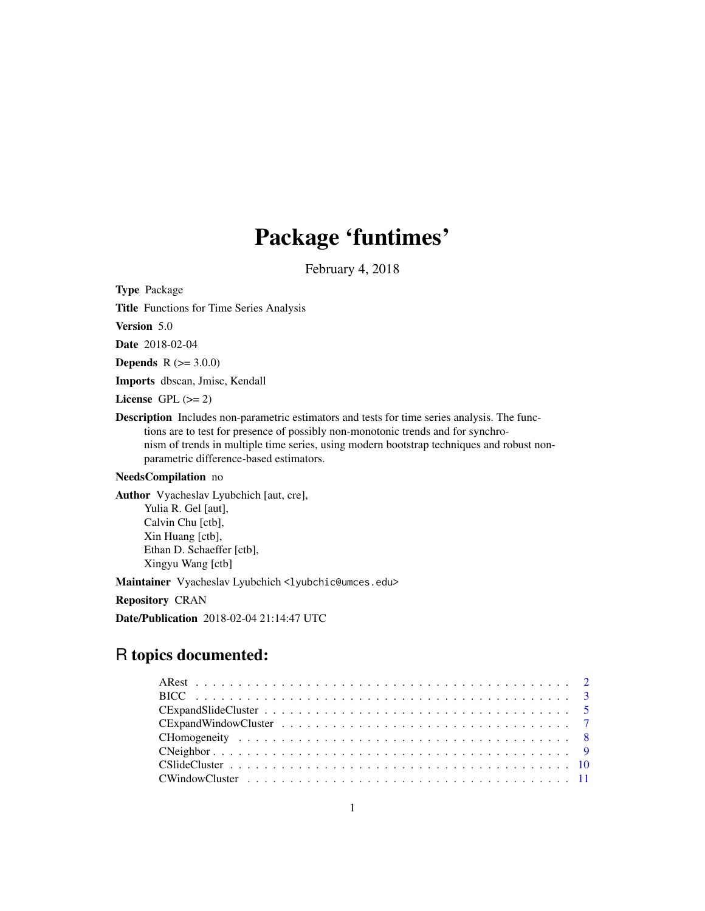# Package 'funtimes'

February 4, 2018

<span id="page-0-0"></span>Type Package

Title Functions for Time Series Analysis

Version 5.0

Date 2018-02-04

**Depends** R  $(>= 3.0.0)$ 

Imports dbscan, Jmisc, Kendall

License GPL  $(>= 2)$ 

Description Includes non-parametric estimators and tests for time series analysis. The functions are to test for presence of possibly non-monotonic trends and for synchronism of trends in multiple time series, using modern bootstrap techniques and robust nonparametric difference-based estimators.

#### NeedsCompilation no

Author Vyacheslav Lyubchich [aut, cre], Yulia R. Gel [aut], Calvin Chu [ctb], Xin Huang [ctb], Ethan D. Schaeffer [ctb], Xingyu Wang [ctb]

Maintainer Vyacheslav Lyubchich <lyubchic@umces.edu>

Repository CRAN

Date/Publication 2018-02-04 21:14:47 UTC

# R topics documented: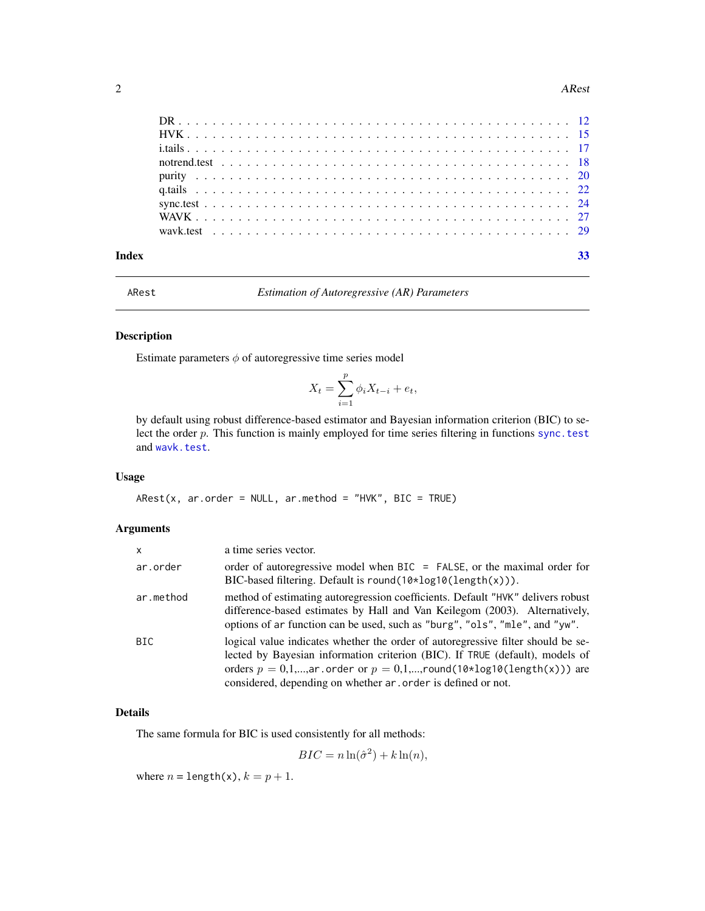#### <span id="page-1-0"></span>2 ARest And 2 ARest And 2 ARest And 2 ARest And 2 ARest And 2 ARest And 2 ARest And 2 ARest And 2 ARest And 2

| Index |  |  |  |  |  |  |  |  |  |  |  |  |  |  |  |  |  |  |  |  |  |
|-------|--|--|--|--|--|--|--|--|--|--|--|--|--|--|--|--|--|--|--|--|--|

ARest *Estimation of Autoregressive (AR) Parameters*

# Description

Estimate parameters  $\phi$  of autoregressive time series model

$$
X_t = \sum_{i=1}^p \phi_i X_{t-i} + e_t,
$$

by default using robust difference-based estimator and Bayesian information criterion (BIC) to select the order p. This function is mainly employed for time series filtering in functions [sync.test](#page-23-1) and [wavk.test](#page-28-1).

#### Usage

 $ARest(x, ar.order = NULL, ar.method = "HVK", BIC = TRUE)$ 

# Arguments

| $\mathsf{x}$ | a time series vector.                                                                                                                                                                                                                                                                                          |
|--------------|----------------------------------------------------------------------------------------------------------------------------------------------------------------------------------------------------------------------------------------------------------------------------------------------------------------|
| ar.order     | order of autoregressive model when BIC = FALSE, or the maximal order for<br>BIC-based filtering. Default is $round(10*log10(length(x)))$ .                                                                                                                                                                     |
| ar.method    | method of estimating autoregression coefficients. Default "HVK" delivers robust<br>difference-based estimates by Hall and Van Keilegom (2003). Alternatively,<br>options of ar function can be used, such as "burg", "ols", "mle", and "yw".                                                                   |
| BIC.         | logical value indicates whether the order of autoregressive filter should be se-<br>lected by Bayesian information criterion (BIC). If TRUE (default), models of<br>orders $p = 0,1,,ar.$ order or $p = 0,1,,round(10*log10(length(x)))$ are<br>considered, depending on whether ar . order is defined or not. |

# Details

The same formula for BIC is used consistently for all methods:

 $BIC = n \ln(\hat{\sigma}^2) + k \ln(n),$ 

where  $n = \text{length}(x)$ ,  $k = p + 1$ .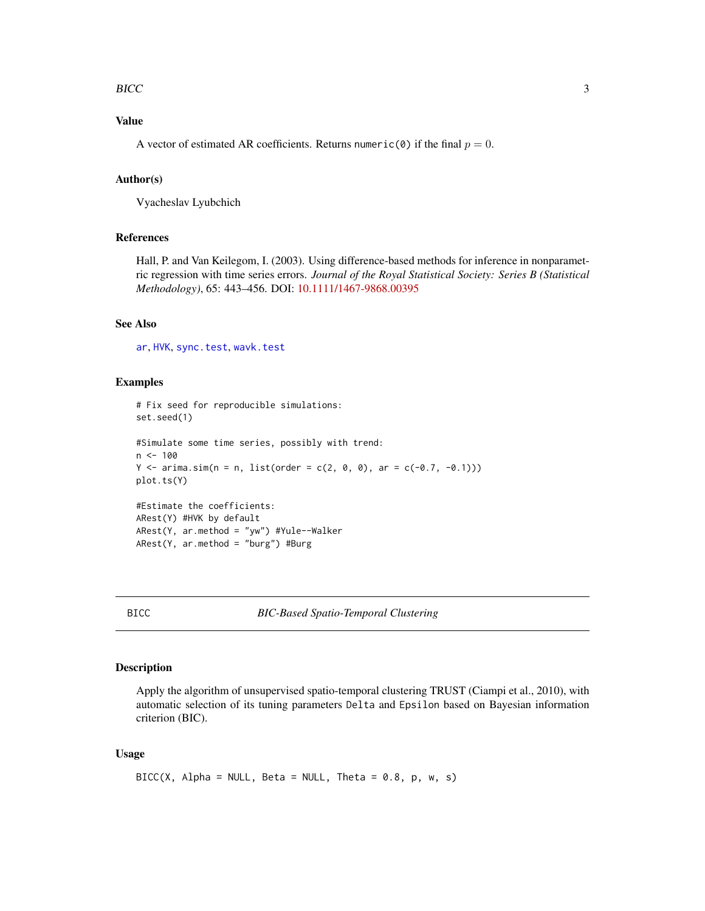#### <span id="page-2-0"></span>BICC 3

# Value

A vector of estimated AR coefficients. Returns numeric(0) if the final  $p = 0$ .

#### Author(s)

Vyacheslav Lyubchich

#### References

Hall, P. and Van Keilegom, I. (2003). Using difference-based methods for inference in nonparametric regression with time series errors. *Journal of the Royal Statistical Society: Series B (Statistical Methodology)*, 65: 443–456. DOI: [10.1111/1467-9868.00395](http://dx.doi.org/10.1111/1467-9868.00395)

# See Also

[ar](#page-0-0), [HVK](#page-14-1), [sync.test](#page-23-1), [wavk.test](#page-28-1)

#### Examples

```
# Fix seed for reproducible simulations:
set.seed(1)
#Simulate some time series, possibly with trend:
n < - 100Y \le -\arima.sim(n = n, list(order = c(2, 0, 0), ar = c(-0.7, -0.1)))plot.ts(Y)
#Estimate the coefficients:
ARest(Y) #HVK by default
ARest(Y, ar.method = "yw") #Yule--Walker
ARest(Y, ar.method = "burg") #Burg
```
BICC *BIC-Based Spatio-Temporal Clustering*

#### Description

Apply the algorithm of unsupervised spatio-temporal clustering TRUST (Ciampi et al., 2010), with automatic selection of its tuning parameters Delta and Epsilon based on Bayesian information criterion (BIC).

#### Usage

```
BICC(X, Alpha = NULL, Beta = NULL, theta = 0.8, p, w, s)
```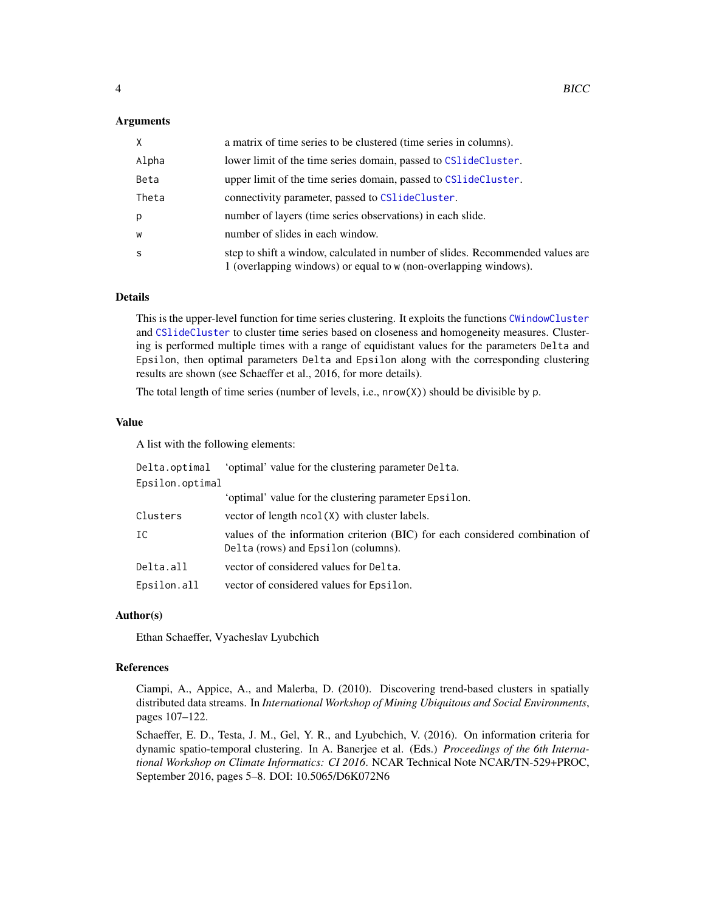#### <span id="page-3-0"></span>Arguments

| $\times$ | a matrix of time series to be clustered (time series in columns).                                                                                  |
|----------|----------------------------------------------------------------------------------------------------------------------------------------------------|
| Alpha    | lower limit of the time series domain, passed to CS1ideCluster.                                                                                    |
| Beta     | upper limit of the time series domain, passed to CS1ideCluster.                                                                                    |
| Theta    | connectivity parameter, passed to CS1ideCluster.                                                                                                   |
| p        | number of layers (time series observations) in each slide.                                                                                         |
| W        | number of slides in each window.                                                                                                                   |
| -S       | step to shift a window, calculated in number of slides. Recommended values are<br>1 (overlapping windows) or equal to w (non-overlapping windows). |

# Details

This is the upper-level function for time series clustering. It exploits the functions [CWindowCluster](#page-10-1) and [CSlideCluster](#page-9-1) to cluster time series based on closeness and homogeneity measures. Clustering is performed multiple times with a range of equidistant values for the parameters Delta and Epsilon, then optimal parameters Delta and Epsilon along with the corresponding clustering results are shown (see Schaeffer et al., 2016, for more details).

The total length of time series (number of levels, i.e., nrow(X)) should be divisible by p.

#### Value

A list with the following elements:

| Delta.optimal   | 'optimal' value for the clustering parameter Delta.                                                                 |
|-----------------|---------------------------------------------------------------------------------------------------------------------|
| Epsilon.optimal |                                                                                                                     |
|                 | 'optimal' value for the clustering parameter Epsilon.                                                               |
| Clusters        | vector of length $ncol(X)$ with cluster labels.                                                                     |
| IC              | values of the information criterion (BIC) for each considered combination of<br>Delta (rows) and Epsilon (columns). |
| Delta.all       | vector of considered values for Delta.                                                                              |
| Epsilon.all     | vector of considered values for Epsilon.                                                                            |

#### Author(s)

Ethan Schaeffer, Vyacheslav Lyubchich

#### References

Ciampi, A., Appice, A., and Malerba, D. (2010). Discovering trend-based clusters in spatially distributed data streams. In *International Workshop of Mining Ubiquitous and Social Environments*, pages 107–122.

Schaeffer, E. D., Testa, J. M., Gel, Y. R., and Lyubchich, V. (2016). On information criteria for dynamic spatio-temporal clustering. In A. Banerjee et al. (Eds.) *Proceedings of the 6th International Workshop on Climate Informatics: CI 2016*. NCAR Technical Note NCAR/TN-529+PROC, September 2016, pages 5–8. DOI: 10.5065/D6K072N6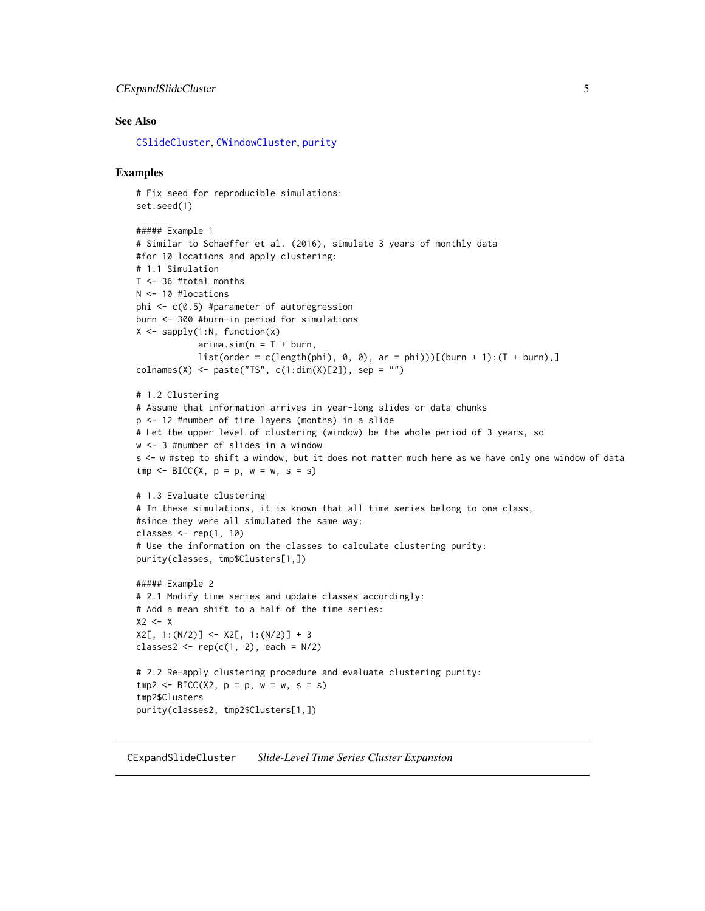# <span id="page-4-0"></span>CExpandSlideCluster 5

# See Also

[CSlideCluster](#page-9-1), [CWindowCluster](#page-10-1), [purity](#page-19-1)

#### Examples

```
# Fix seed for reproducible simulations:
set.seed(1)
##### Example 1
# Similar to Schaeffer et al. (2016), simulate 3 years of monthly data
#for 10 locations and apply clustering:
# 1.1 Simulation
T <- 36 #total months
N <- 10 #locations
phi <- c(0.5) #parameter of autoregression
burn <- 300 #burn-in period for simulations
X \leftarrow sapply(1:N, function(x)
            arima.sim(n = T + burn,list(order = c(length(phi), 0, 0), ar = phi)))[(burn + 1):(T + burn),]colnames(X) <- paste("TS", c(1:dim(X)[2]), sep = "")
# 1.2 Clustering
# Assume that information arrives in year-long slides or data chunks
p <- 12 #number of time layers (months) in a slide
# Let the upper level of clustering (window) be the whole period of 3 years, so
w <- 3 #number of slides in a window
s <- w #step to shift a window, but it does not matter much here as we have only one window of data
tmp \leq BICC(X, p = p, w = w, s = s)# 1.3 Evaluate clustering
# In these simulations, it is known that all time series belong to one class,
#since they were all simulated the same way:
classes \leq rep(1, 10)
# Use the information on the classes to calculate clustering purity:
purity(classes, tmp$Clusters[1,])
##### Example 2
# 2.1 Modify time series and update classes accordingly:
# Add a mean shift to a half of the time series:
X2 \leftarrow XX2[, 1:(N/2)] \leftarrow X2[, 1:(N/2)] + 3classes2 \leftarrow \text{rep}(c(1, 2), \text{each} = N/2)# 2.2 Re-apply clustering procedure and evaluate clustering purity:
tmp2 < - BICC(X2, p = p, w = w, s = s)tmp2$Clusters
purity(classes2, tmp2$Clusters[1,])
```
<span id="page-4-1"></span>CExpandSlideCluster *Slide-Level Time Series Cluster Expansion*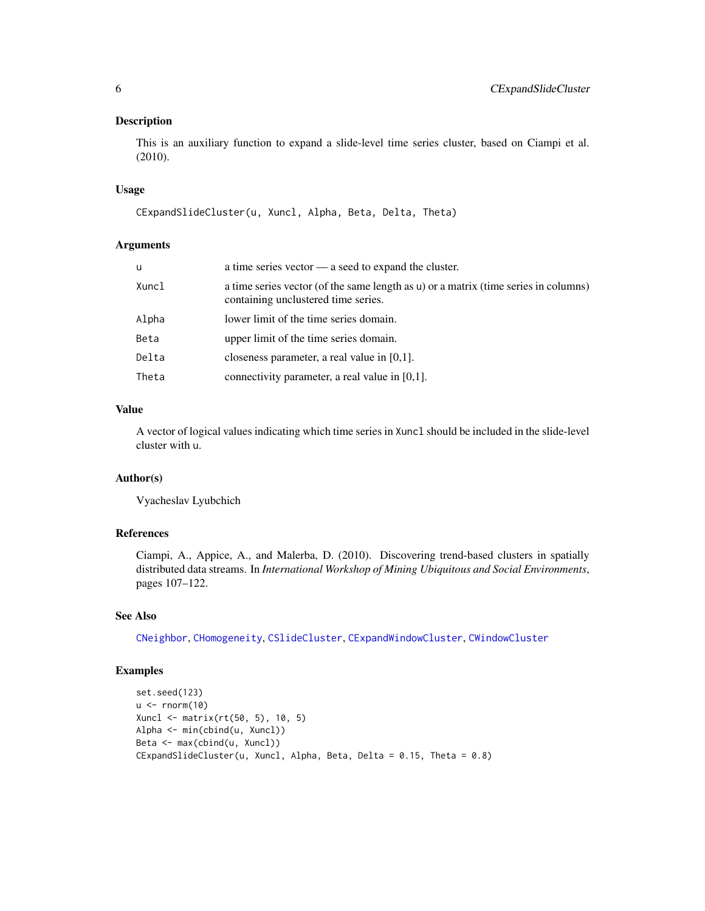<span id="page-5-0"></span>This is an auxiliary function to expand a slide-level time series cluster, based on Ciampi et al. (2010).

# Usage

```
CExpandSlideCluster(u, Xuncl, Alpha, Beta, Delta, Theta)
```
#### Arguments

| u     | a time series vector $\_\_$ a seed to expand the cluster.                                                                  |
|-------|----------------------------------------------------------------------------------------------------------------------------|
| Xuncl | a time series vector (of the same length as u) or a matrix (time series in columns)<br>containing unclustered time series. |
| Alpha | lower limit of the time series domain.                                                                                     |
| Beta  | upper limit of the time series domain.                                                                                     |
| Delta | closeness parameter, a real value in $[0,1]$ .                                                                             |
| Theta | connectivity parameter, a real value in $[0,1]$ .                                                                          |
|       |                                                                                                                            |

#### Value

A vector of logical values indicating which time series in Xuncl should be included in the slide-level cluster with u.

#### Author(s)

Vyacheslav Lyubchich

# References

Ciampi, A., Appice, A., and Malerba, D. (2010). Discovering trend-based clusters in spatially distributed data streams. In *International Workshop of Mining Ubiquitous and Social Environments*, pages 107–122.

# See Also

[CNeighbor](#page-8-1), [CHomogeneity](#page-7-1), [CSlideCluster](#page-9-1), [CExpandWindowCluster](#page-6-1), [CWindowCluster](#page-10-1)

```
set.seed(123)
u < -rnorm(10)Xuncl <- matrix(rt(50, 5), 10, 5)
Alpha <- min(cbind(u, Xuncl))
Beta <- max(cbind(u, Xuncl))
CExpandSlideCluster(u, Xuncl, Alpha, Beta, Delta = 0.15, Theta = 0.8)
```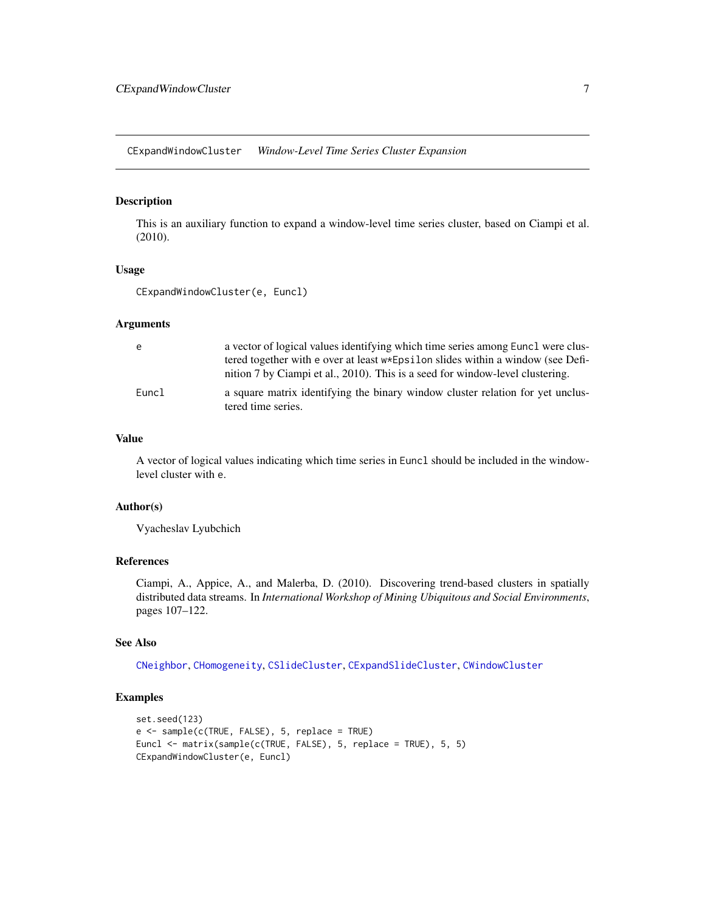<span id="page-6-1"></span><span id="page-6-0"></span>CExpandWindowCluster *Window-Level Time Series Cluster Expansion*

# Description

This is an auxiliary function to expand a window-level time series cluster, based on Ciampi et al. (2010).

# Usage

CExpandWindowCluster(e, Euncl)

# Arguments

| e     | a vector of logical values identifying which time series among Euncl were clus-                      |
|-------|------------------------------------------------------------------------------------------------------|
|       | tered together with e over at least $w*Epsilon$ silon slides within a window (see Defi-              |
|       | nition 7 by Ciampi et al., 2010). This is a seed for window-level clustering.                        |
| Euncl | a square matrix identifying the binary window cluster relation for yet unclus-<br>tered time series. |

# Value

A vector of logical values indicating which time series in Euncl should be included in the windowlevel cluster with e.

#### Author(s)

Vyacheslav Lyubchich

#### References

Ciampi, A., Appice, A., and Malerba, D. (2010). Discovering trend-based clusters in spatially distributed data streams. In *International Workshop of Mining Ubiquitous and Social Environments*, pages 107–122.

#### See Also

[CNeighbor](#page-8-1), [CHomogeneity](#page-7-1), [CSlideCluster](#page-9-1), [CExpandSlideCluster](#page-4-1), [CWindowCluster](#page-10-1)

```
set.seed(123)
e <- sample(c(TRUE, FALSE), 5, replace = TRUE)
Euncl <- matrix(sample(c(TRUE, FALSE), 5, replace = TRUE), 5, 5)
CExpandWindowCluster(e, Euncl)
```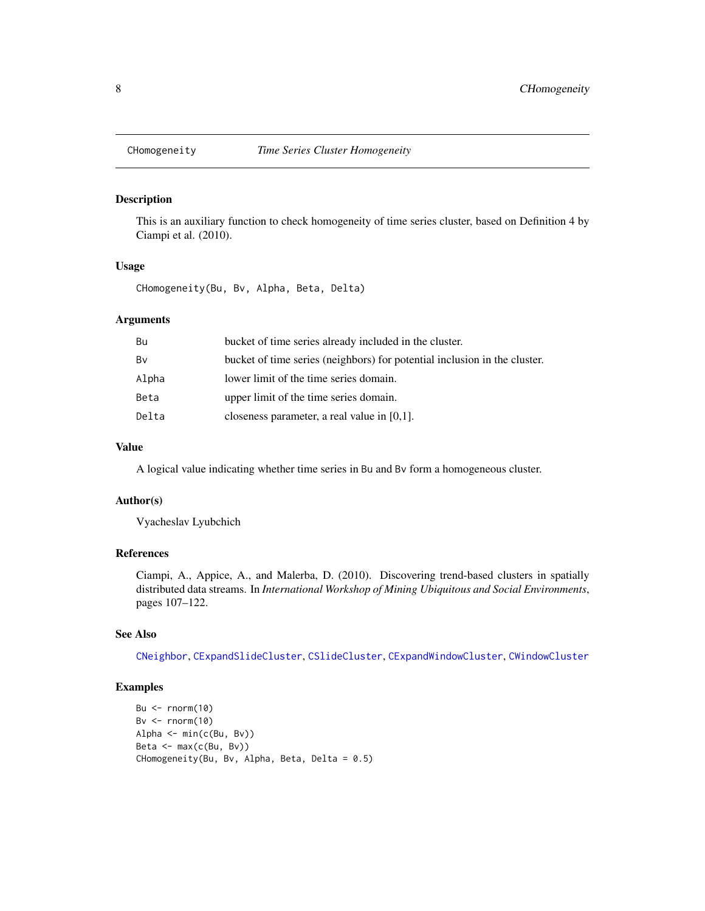<span id="page-7-1"></span><span id="page-7-0"></span>

This is an auxiliary function to check homogeneity of time series cluster, based on Definition 4 by Ciampi et al. (2010).

#### Usage

CHomogeneity(Bu, Bv, Alpha, Beta, Delta)

#### Arguments

| Bv<br>bucket of time series (neighbors) for potential inclusion in the cluster.<br>Alpha<br>lower limit of the time series domain.<br>Beta<br>upper limit of the time series domain.<br>Delta<br>closeness parameter, a real value in $[0,1]$ . | Bu | bucket of time series already included in the cluster. |
|-------------------------------------------------------------------------------------------------------------------------------------------------------------------------------------------------------------------------------------------------|----|--------------------------------------------------------|
|                                                                                                                                                                                                                                                 |    |                                                        |
|                                                                                                                                                                                                                                                 |    |                                                        |
|                                                                                                                                                                                                                                                 |    |                                                        |
|                                                                                                                                                                                                                                                 |    |                                                        |

# Value

A logical value indicating whether time series in Bu and Bv form a homogeneous cluster.

#### Author(s)

Vyacheslav Lyubchich

# References

Ciampi, A., Appice, A., and Malerba, D. (2010). Discovering trend-based clusters in spatially distributed data streams. In *International Workshop of Mining Ubiquitous and Social Environments*, pages 107–122.

# See Also

[CNeighbor](#page-8-1), [CExpandSlideCluster](#page-4-1), [CSlideCluster](#page-9-1), [CExpandWindowCluster](#page-6-1), [CWindowCluster](#page-10-1)

```
Bu \leq rnorm(10)
Bv \leftarrow rnorm(10)
Alpha <- min(c(Bu, Bv))
Beta <- max(c(Bu, Bv))
CHomogeneity(Bu, Bv, Alpha, Beta, Delta = 0.5)
```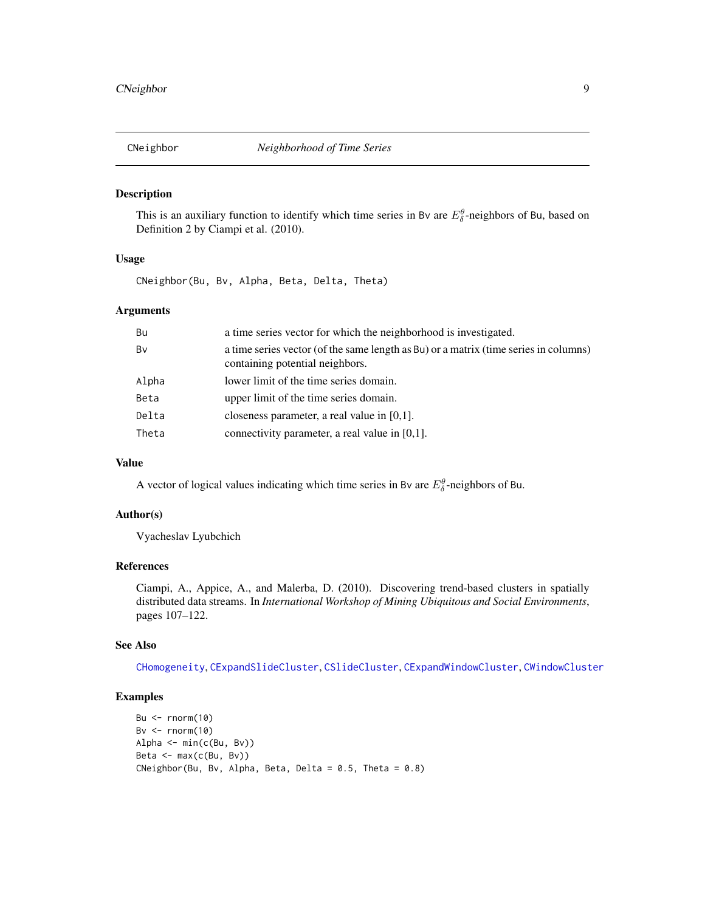<span id="page-8-1"></span><span id="page-8-0"></span>

This is an auxiliary function to identify which time series in Bv are  $E_{\delta}^{\theta}$ -neighbors of Bu, based on Definition 2 by Ciampi et al. (2010).

# Usage

CNeighbor(Bu, Bv, Alpha, Beta, Delta, Theta)

# Arguments

| Bu    | a time series vector for which the neighborhood is investigated.                                                        |
|-------|-------------------------------------------------------------------------------------------------------------------------|
| Bv    | a time series vector (of the same length as Bu) or a matrix (time series in columns)<br>containing potential neighbors. |
| Alpha | lower limit of the time series domain.                                                                                  |
| Beta  | upper limit of the time series domain.                                                                                  |
| Delta | closeness parameter, a real value in $[0,1]$ .                                                                          |
| Theta | connectivity parameter, a real value in $[0,1]$ .                                                                       |

# Value

A vector of logical values indicating which time series in Bv are  $E_{\delta}^{\theta}$ -neighbors of Bu.

# Author(s)

Vyacheslav Lyubchich

#### References

Ciampi, A., Appice, A., and Malerba, D. (2010). Discovering trend-based clusters in spatially distributed data streams. In *International Workshop of Mining Ubiquitous and Social Environments*, pages 107–122.

#### See Also

[CHomogeneity](#page-7-1), [CExpandSlideCluster](#page-4-1), [CSlideCluster](#page-9-1), [CExpandWindowCluster](#page-6-1), [CWindowCluster](#page-10-1)

```
Bu \leftarrow rnorm(10)
Bv \leftarrow rnorm(10)
Alpha <- min(c(Bu, Bv))
Beta <- max(c(Bu, Bv))
CNeighbor(Bu, Bv, Alpha, Beta, Delta = 0.5, Theta = 0.8)
```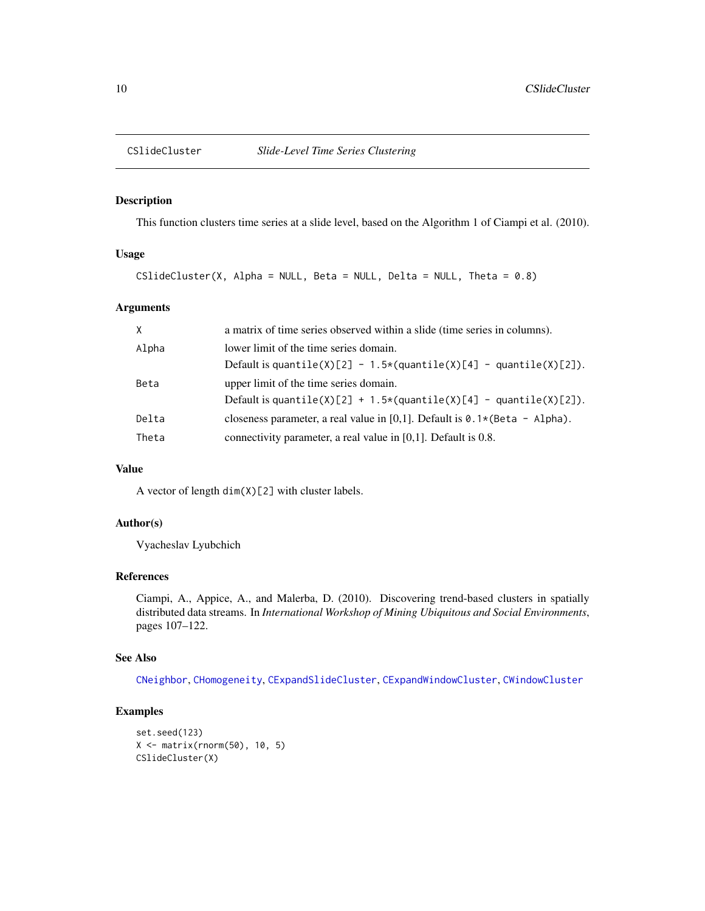<span id="page-9-1"></span><span id="page-9-0"></span>

This function clusters time series at a slide level, based on the Algorithm 1 of Ciampi et al. (2010).

# Usage

CSlideCluster(X, Alpha = NULL, Beta = NULL, Delta = NULL, Theta =  $0.8$ )

# Arguments

| $\times$ | a matrix of time series observed within a slide (time series in columns).                                            |
|----------|----------------------------------------------------------------------------------------------------------------------|
| Alpha    | lower limit of the time series domain.<br>Default is quantile(X)[2] - 1.5*(quantile(X)[4] - quantile(X)[2]).         |
| Beta     | upper limit of the time series domain.<br>Default is quantile(X)[2] + 1.5 $\star$ (quantile(X)[4] - quantile(X)[2]). |
| Delta    | closeness parameter, a real value in [0,1]. Default is $\theta$ . 1 $\star$ (Beta - Alpha).                          |
| Theta    | connectivity parameter, a real value in $[0,1]$ . Default is 0.8.                                                    |

# Value

A vector of length  $\dim(X)[2]$  with cluster labels.

#### Author(s)

Vyacheslav Lyubchich

# References

Ciampi, A., Appice, A., and Malerba, D. (2010). Discovering trend-based clusters in spatially distributed data streams. In *International Workshop of Mining Ubiquitous and Social Environments*, pages 107–122.

# See Also

[CNeighbor](#page-8-1), [CHomogeneity](#page-7-1), [CExpandSlideCluster](#page-4-1), [CExpandWindowCluster](#page-6-1), [CWindowCluster](#page-10-1)

```
set.seed(123)
X <- matrix(rnorm(50), 10, 5)
CSlideCluster(X)
```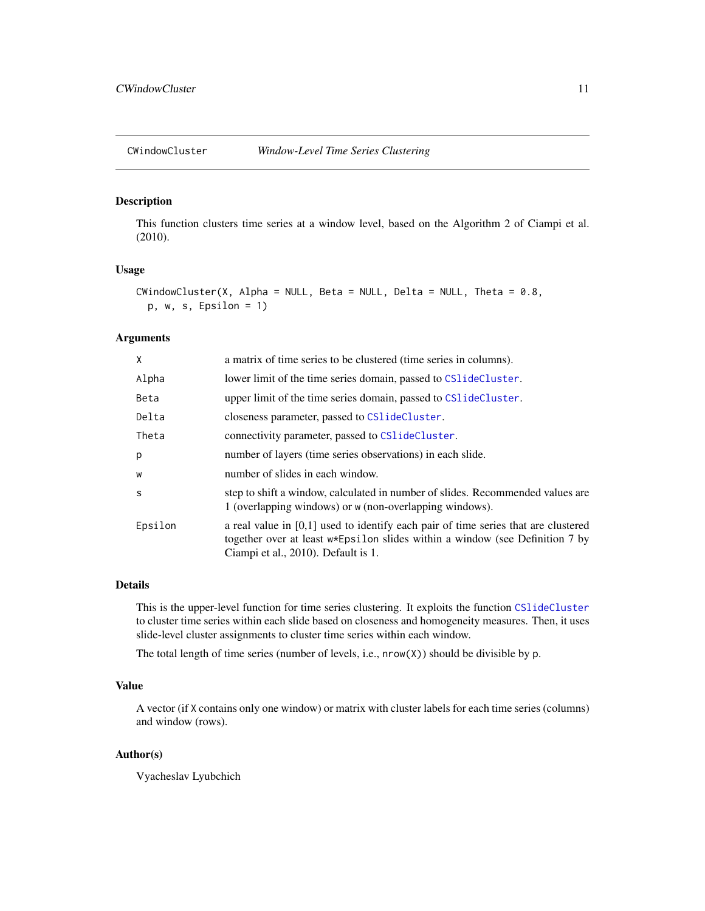<span id="page-10-1"></span><span id="page-10-0"></span>

This function clusters time series at a window level, based on the Algorithm 2 of Ciampi et al. (2010).

#### Usage

```
CWindowCluster(X, Alpha = NULL, Beta = NULL, Delta = NULL, Theta = 0.8,
 p, w, s, Epsilon = 1)
```
# Arguments

| X       | a matrix of time series to be clustered (time series in columns).                                                                                                                                           |
|---------|-------------------------------------------------------------------------------------------------------------------------------------------------------------------------------------------------------------|
| Alpha   | lower limit of the time series domain, passed to CS1ideCluster.                                                                                                                                             |
| Beta    | upper limit of the time series domain, passed to CS1ideCluster.                                                                                                                                             |
| Delta   | closeness parameter, passed to CS1ideCluster.                                                                                                                                                               |
| Theta   | connectivity parameter, passed to CS1 ideCluster.                                                                                                                                                           |
| p       | number of layers (time series observations) in each slide.                                                                                                                                                  |
| W       | number of slides in each window.                                                                                                                                                                            |
| S       | step to shift a window, calculated in number of slides. Recommended values are<br>1 (overlapping windows) or w (non-overlapping windows).                                                                   |
| Epsilon | a real value in $[0,1]$ used to identify each pair of time series that are clustered<br>together over at least w*Epsilon slides within a window (see Definition 7 by<br>Ciampi et al., 2010). Default is 1. |

## Details

This is the upper-level function for time series clustering. It exploits the function [CSlideCluster](#page-9-1) to cluster time series within each slide based on closeness and homogeneity measures. Then, it uses slide-level cluster assignments to cluster time series within each window.

The total length of time series (number of levels, i.e.,  $nrow(X)$ ) should be divisible by p.

#### Value

A vector (if X contains only one window) or matrix with cluster labels for each time series (columns) and window (rows).

#### Author(s)

Vyacheslav Lyubchich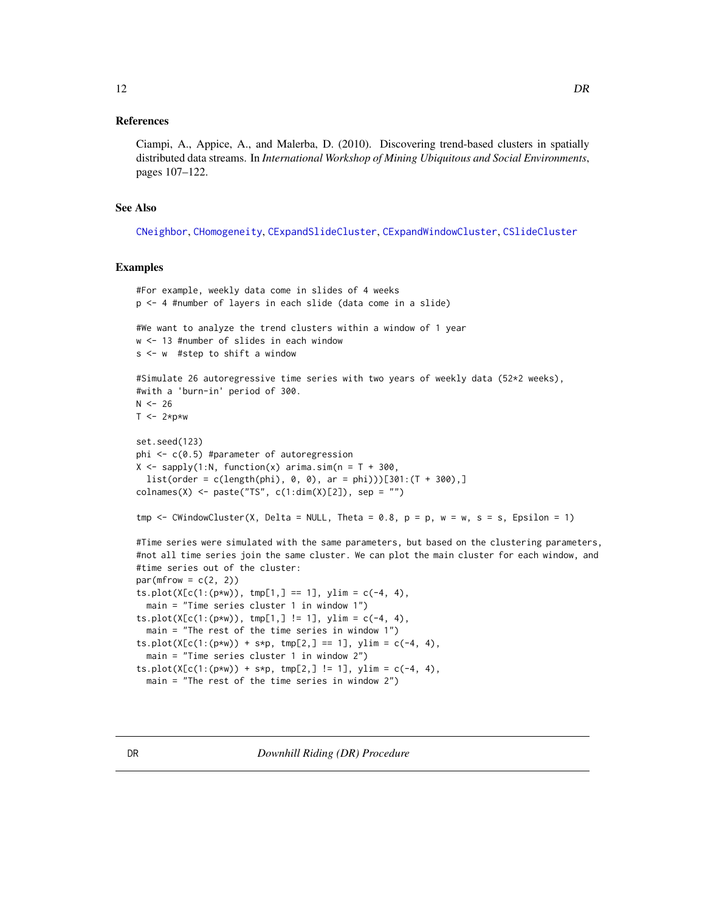#### <span id="page-11-0"></span>References

Ciampi, A., Appice, A., and Malerba, D. (2010). Discovering trend-based clusters in spatially distributed data streams. In *International Workshop of Mining Ubiquitous and Social Environments*, pages 107–122.

# See Also

[CNeighbor](#page-8-1), [CHomogeneity](#page-7-1), [CExpandSlideCluster](#page-4-1), [CExpandWindowCluster](#page-6-1), [CSlideCluster](#page-9-1)

```
#For example, weekly data come in slides of 4 weeks
p <- 4 #number of layers in each slide (data come in a slide)
#We want to analyze the trend clusters within a window of 1 year
w <- 13 #number of slides in each window
s <- w #step to shift a window
#Simulate 26 autoregressive time series with two years of weekly data (52*2 weeks),
#with a 'burn-in' period of 300.
N < -26T \le -2*p*wset.seed(123)
phi <- c(0.5) #parameter of autoregression
X \leq - sapply(1:N, function(x) arima.sim(n = T + 300,
  list(order = c(length(phi), 0, 0), ar = phi))[301:(T + 300),]colnames(X) <- paste("TS", c(1:dim(X)[2]), sep = "")
tmp \le CWindowCluster(X, Delta = NULL, Theta = 0.8, p = p, w = w, s = s, Epsilon = 1)
#Time series were simulated with the same parameters, but based on the clustering parameters,
#not all time series join the same cluster. We can plot the main cluster for each window, and
#time series out of the cluster:
par(mfrow = c(2, 2))ts.plot(X[c(1:(p*w)), tmp[1,] == 1], ylim = c(-4, 4),main = "Time series cluster 1 in window 1")
ts.plot(X[c(1:(p*w)), tmp[1,] != 1], ylim = c(-4, 4),main = "The rest of the time series in window 1")
ts.plot(X[c(1:(p*w)) + s*p, tmp[2,] == 1], ylim = c(-4, 4),
  main = "Time series cluster 1 in window 2")
ts.plot(X[c(1:(p*w)) + s*p, tmp[2,] != 1], ylim = c(-4, 4),main = "The rest of the time series in window 2")
```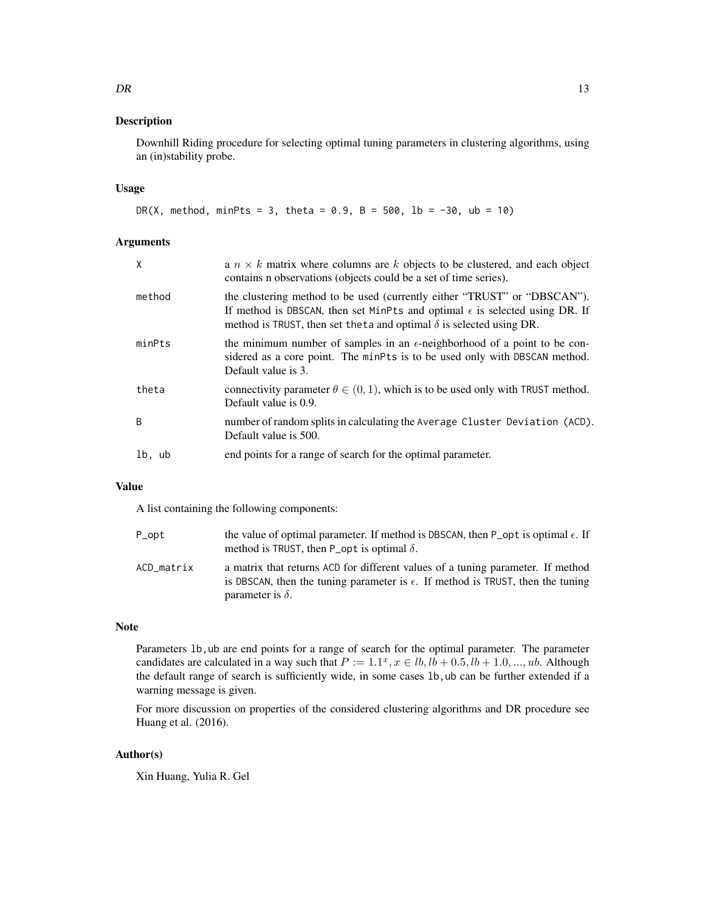Downhill Riding procedure for selecting optimal tuning parameters in clustering algorithms, using an (in)stability probe.

# Usage

```
DR(X, method, minPts = 3, theta = 0.9, B = 500, lb = -30, ub = 10)
```
#### Arguments

| X      | a $n \times k$ matrix where columns are k objects to be clustered, and each object<br>contains n observations (objects could be a set of time series).                                                                                          |
|--------|-------------------------------------------------------------------------------------------------------------------------------------------------------------------------------------------------------------------------------------------------|
| method | the clustering method to be used (currently either "TRUST" or "DBSCAN").<br>If method is DBSCAN, then set MinPts and optimal $\epsilon$ is selected using DR. If<br>method is TRUST, then set the ta and optimal $\delta$ is selected using DR. |
| minPts | the minimum number of samples in an $\epsilon$ -neighborhood of a point to be con-<br>sidered as a core point. The minPts is to be used only with DBSCAN method.<br>Default value is 3.                                                         |
| theta  | connectivity parameter $\theta \in (0, 1)$ , which is to be used only with TRUST method.<br>Default value is 0.9.                                                                                                                               |
| B      | number of random splits in calculating the Average Cluster Deviation (ACD).<br>Default value is 500.                                                                                                                                            |
| lb, ub | end points for a range of search for the optimal parameter.                                                                                                                                                                                     |
|        |                                                                                                                                                                                                                                                 |

## Value

A list containing the following components:

| P_opt      | the value of optimal parameter. If method is DBSCAN, then P opt is optimal $\epsilon$ . If<br>method is TRUST, then P_opt is optimal $\delta$ .                                                        |
|------------|--------------------------------------------------------------------------------------------------------------------------------------------------------------------------------------------------------|
| ACD matrix | a matrix that returns ACD for different values of a tuning parameter. If method<br>is DBSCAN, then the tuning parameter is $\epsilon$ . If method is TRUST, then the tuning<br>parameter is $\delta$ . |

# Note

Parameters 1b, ub are end points for a range of search for the optimal parameter. The parameter candidates are calculated in a way such that  $P := 1.1^x, x \in lb, lb + 0.5, lb + 1.0, ..., ub$ . Although the default range of search is sufficiently wide, in some cases 1b, ub can be further extended if a warning message is given.

For more discussion on properties of the considered clustering algorithms and DR procedure see Huang et al. (2016).

# Author(s)

Xin Huang, Yulia R. Gel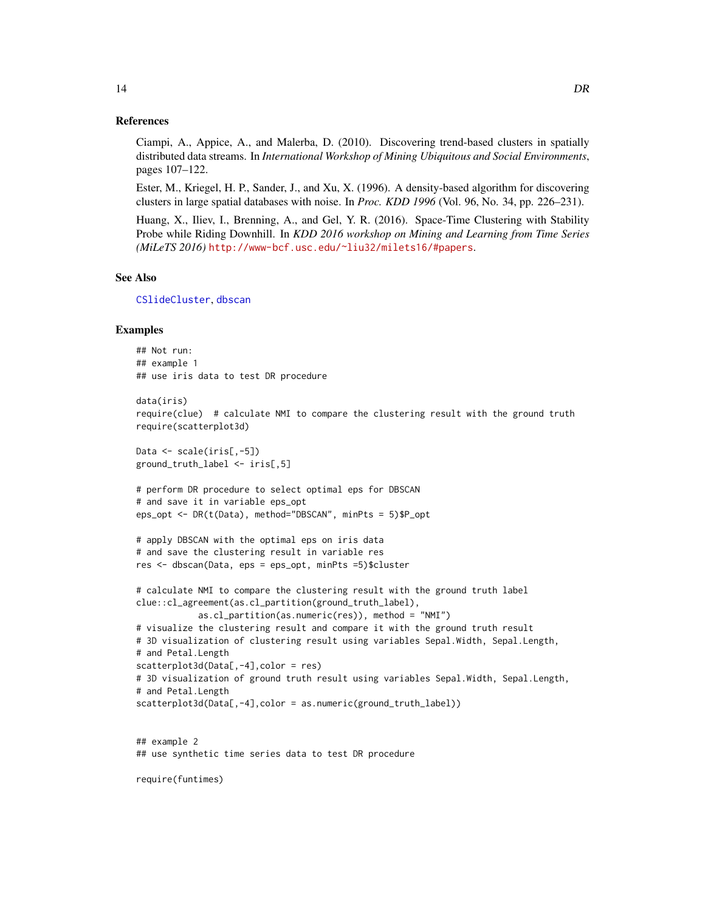#### <span id="page-13-0"></span>References

Ciampi, A., Appice, A., and Malerba, D. (2010). Discovering trend-based clusters in spatially distributed data streams. In *International Workshop of Mining Ubiquitous and Social Environments*, pages 107–122.

Ester, M., Kriegel, H. P., Sander, J., and Xu, X. (1996). A density-based algorithm for discovering clusters in large spatial databases with noise. In *Proc. KDD 1996* (Vol. 96, No. 34, pp. 226–231).

Huang, X., Iliev, I., Brenning, A., and Gel, Y. R. (2016). Space-Time Clustering with Stability Probe while Riding Downhill. In *KDD 2016 workshop on Mining and Learning from Time Series (MiLeTS 2016)* <http://www-bcf.usc.edu/~liu32/milets16/#papers>.

# See Also

[CSlideCluster](#page-9-1), [dbscan](#page-0-0)

# Examples

```
## Not run:
## example 1
## use iris data to test DR procedure
```

```
data(iris)
require(clue) # calculate NMI to compare the clustering result with the ground truth
require(scatterplot3d)
```

```
Data <- scale(iris[,-5])
ground_truth_label <- iris[,5]
```

```
# perform DR procedure to select optimal eps for DBSCAN
# and save it in variable eps_opt
eps_opt <- DR(t(Data), method="DBSCAN", minPts = 5)$P_opt
```

```
# apply DBSCAN with the optimal eps on iris data
# and save the clustering result in variable res
res <- dbscan(Data, eps = eps_opt, minPts =5)$cluster
```

```
# calculate NMI to compare the clustering result with the ground truth label
clue::cl_agreement(as.cl_partition(ground_truth_label),
            as.cl_partition(as.numeric(res)), method = "NMI")
# visualize the clustering result and compare it with the ground truth result
# 3D visualization of clustering result using variables Sepal.Width, Sepal.Length,
# and Petal.Length
scatterplot3d(Data[,-4],color = res)
# 3D visualization of ground truth result using variables Sepal.Width, Sepal.Length,
# and Petal.Length
```

```
scatterplot3d(Data[,-4],color = as.numeric(ground_truth_label))
```
## example 2 ## use synthetic time series data to test DR procedure

require(funtimes)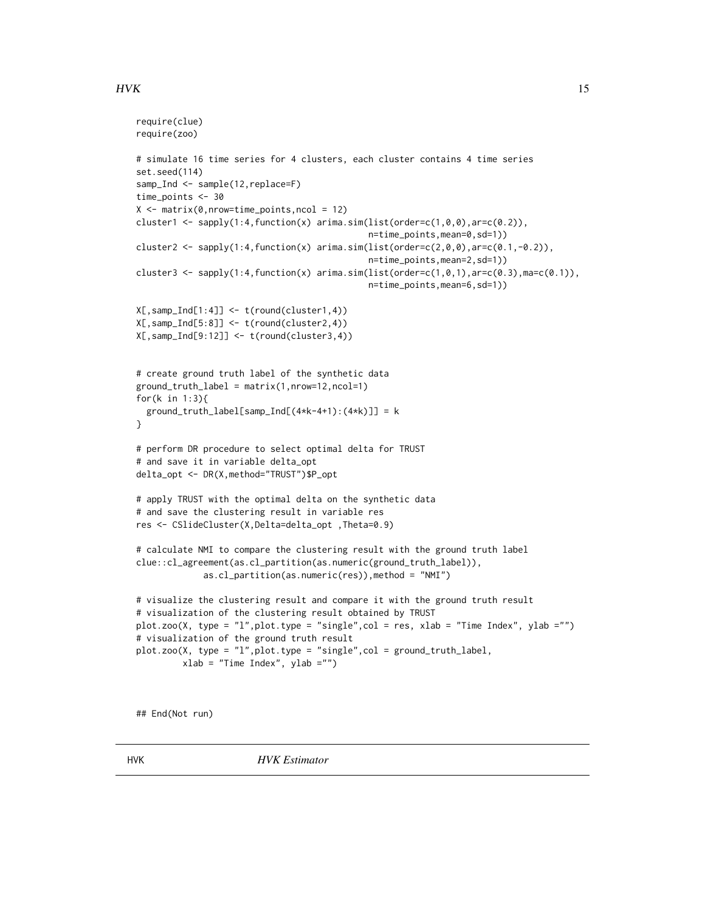# <span id="page-14-0"></span> $HVK$  and the set of the set of the set of the set of the set of the set of the set of the set of the set of the set of the set of the set of the set of the set of the set of the set of the set of the set of the set of the

```
require(clue)
require(zoo)
# simulate 16 time series for 4 clusters, each cluster contains 4 time series
set.seed(114)
samp_Ind <- sample(12, replace=F)
time_points <- 30
X \le - matrix(0, nrow=time_points, ncol = 12)
cluster1 <- sapply(1:4,function(x) arima.sim(list(order=c(1,0,0),ar=c(0.2)),
                                             n=time_points,mean=0,sd=1))
cluster2 <- sapply(1:4,function(x) arima.sim(list(order=c(2,0,0),ar=c(0.1,-0.2)),
                                             n=time_points,mean=2,sd=1))
cluster3 <- sapply(1:4,function(x) arima.sim(list(order=c(1,0,1),ar=c(0.3),ma=c(0.1)),
                                             n=time_points,mean=6,sd=1))
X[,samp_Ind[1:4]] <- t(round(cluster1,4))
X[,samp_Ind[5:8]] <- t(round(cluster2,4))
X[,samp_Ind[9:12]] <- t(round(cluster3,4))
# create ground truth label of the synthetic data
ground\_truth\_label = matrix(1,nrow=12,ncol=1)for(k in 1:3){
 ground_{truth\_label[samp\_Ind[(4*k-4+1):(4*k)] = k}
# perform DR procedure to select optimal delta for TRUST
# and save it in variable delta_opt
delta_opt <- DR(X,method="TRUST")$P_opt
# apply TRUST with the optimal delta on the synthetic data
# and save the clustering result in variable res
res <- CSlideCluster(X,Delta=delta_opt ,Theta=0.9)
# calculate NMI to compare the clustering result with the ground truth label
clue::cl_agreement(as.cl_partition(as.numeric(ground_truth_label)),
             as.cl_partition(as.numeric(res)),method = "NMI")
# visualize the clustering result and compare it with the ground truth result
# visualization of the clustering result obtained by TRUST
plot.zoo(X, type = "l",plot.type = "single",col = res, xlab = "Time Index", ylab ="")
# visualization of the ground truth result
plot.zoo(X, type = "l",plot.type = "single",col = ground_truth_label,
         xlab = "Time Index", ylab ="")
```
<span id="page-14-1"></span>## End(Not run)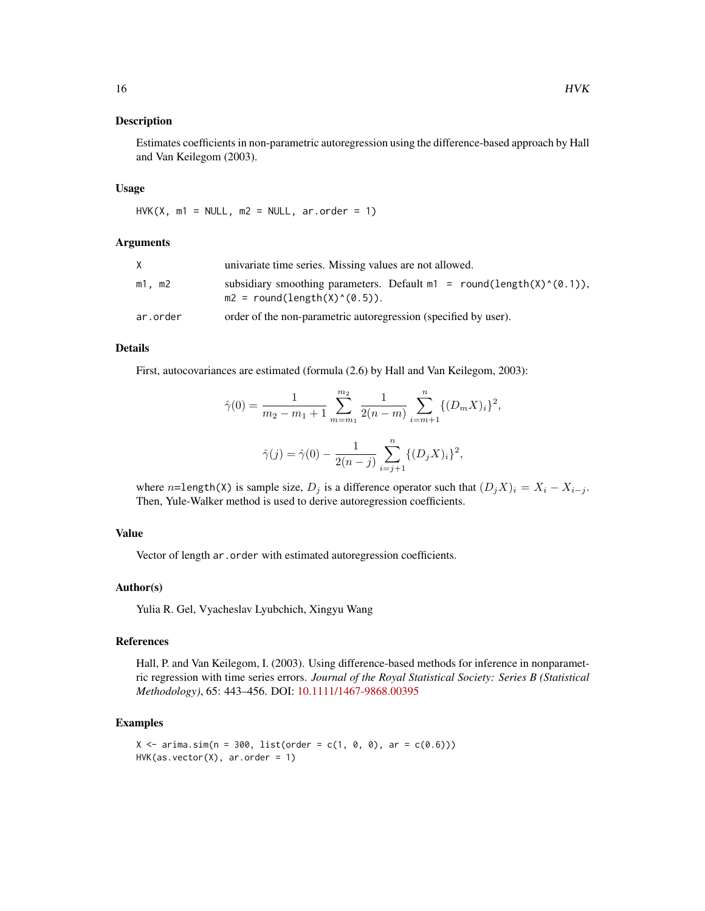Estimates coefficients in non-parametric autoregression using the difference-based approach by Hall and Van Keilegom (2003).

#### Usage

 $HVK(X, m1 = NULL, m2 = NULL, ar.order = 1)$ 

#### Arguments

|          | univariate time series. Missing values are not allowed.                                                     |
|----------|-------------------------------------------------------------------------------------------------------------|
| m1. m2   | subsidiary smoothing parameters. Default $m1 = round(length(X)^{(0.1)}),$<br>$m2 = round(length(X)^(0.5)).$ |
| ar.order | order of the non-parametric autoregression (specified by user).                                             |

# Details

First, autocovariances are estimated (formula (2.6) by Hall and Van Keilegom, 2003):

$$
\hat{\gamma}(0) = \frac{1}{m_2 - m_1 + 1} \sum_{m=m_1}^{m_2} \frac{1}{2(n-m)} \sum_{i=m+1}^n \{ (D_m X)_i \}^2,
$$
  

$$
\hat{\gamma}(j) = \hat{\gamma}(0) - \frac{1}{2(n-j)} \sum_{i=j+1}^n \{ (D_j X)_i \}^2,
$$

where n=length(X) is sample size,  $D_i$  is a difference operator such that  $(D_i X)_i = X_i - X_{i-i}$ . Then, Yule-Walker method is used to derive autoregression coefficients.

# Value

Vector of length ar.order with estimated autoregression coefficients.

# Author(s)

Yulia R. Gel, Vyacheslav Lyubchich, Xingyu Wang

# References

Hall, P. and Van Keilegom, I. (2003). Using difference-based methods for inference in nonparametric regression with time series errors. *Journal of the Royal Statistical Society: Series B (Statistical Methodology)*, 65: 443–456. DOI: [10.1111/1467-9868.00395](http://dx.doi.org/10.1111/1467-9868.00395)

```
X \le -\arima.sim(n = 300, list(order = c(1, 0, 0), ar = c(0.6)))HVK(as.vector(X), arc.order = 1)
```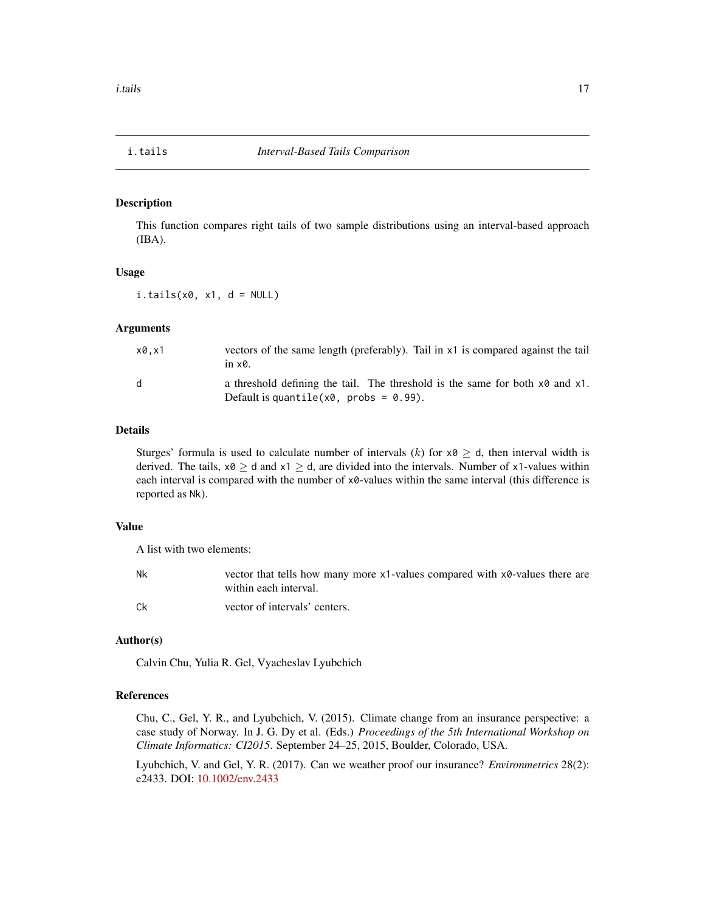<span id="page-16-1"></span><span id="page-16-0"></span>

This function compares right tails of two sample distributions using an interval-based approach (IBA).

#### Usage

 $i.tails(x0, x1, d = NULL)$ 

#### Arguments

| x0.x1 | vectors of the same length (preferably). Tail in x1 is compared against the tail<br>in $\times$ 0.                                   |
|-------|--------------------------------------------------------------------------------------------------------------------------------------|
| d     | a threshold defining the tail. The threshold is the same for both $x\theta$ and $x1$ .<br>Default is quantile( $x0$ , probs = 0.99). |

#### Details

Sturges' formula is used to calculate number of intervals (k) for  $x0 \ge d$ , then interval width is derived. The tails,  $x0 \ge d$  and  $x1 \ge d$ , are divided into the intervals. Number of x1-values within each interval is compared with the number of x0-values within the same interval (this difference is reported as Nk).

# Value

A list with two elements:

| Nk | vector that tells how many more $x1$ -values compared with $x0$ -values there are<br>within each interval. |
|----|------------------------------------------------------------------------------------------------------------|
| Ck | vector of intervals' centers.                                                                              |

#### Author(s)

Calvin Chu, Yulia R. Gel, Vyacheslav Lyubchich

# References

Chu, C., Gel, Y. R., and Lyubchich, V. (2015). Climate change from an insurance perspective: a case study of Norway. In J. G. Dy et al. (Eds.) *Proceedings of the 5th International Workshop on Climate Informatics: CI2015*. September 24–25, 2015, Boulder, Colorado, USA.

Lyubchich, V. and Gel, Y. R. (2017). Can we weather proof our insurance? *Environmetrics* 28(2): e2433. DOI: [10.1002/env.2433](http://dx.doi.org/10.1002/env.2433)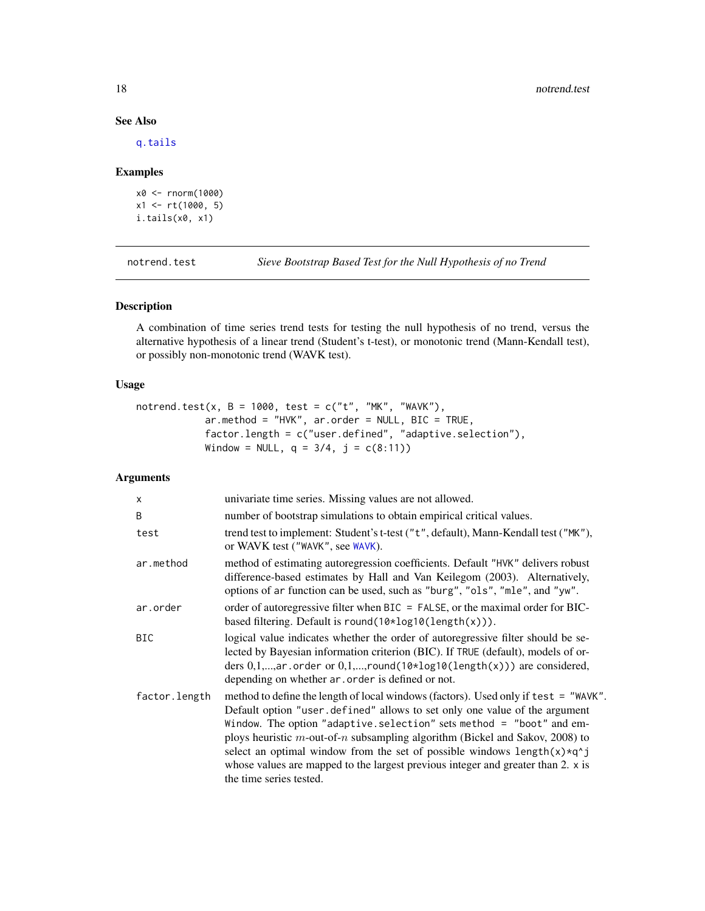#### See Also

[q.tails](#page-21-1)

#### Examples

```
x0 <- rnorm(1000)
x1 <- rt(1000, 5)
i.tails(x0, x1)
```
notrend.test *Sieve Bootstrap Based Test for the Null Hypothesis of no Trend*

# Description

A combination of time series trend tests for testing the null hypothesis of no trend, versus the alternative hypothesis of a linear trend (Student's t-test), or monotonic trend (Mann-Kendall test), or possibly non-monotonic trend (WAVK test).

# Usage

notrend.test(x, B = 1000, test =  $c("t", "MK", "WAVK"),$ ar.method = "HVK", ar.order = NULL, BIC = TRUE, factor.length = c("user.defined", "adaptive.selection"), Window = NULL,  $q = 3/4$ ,  $j = c(8:11)$ )

# Arguments

| X             | univariate time series. Missing values are not allowed.                                                                                                                                                                                                                                                                                                                                                                                                                                                                                      |
|---------------|----------------------------------------------------------------------------------------------------------------------------------------------------------------------------------------------------------------------------------------------------------------------------------------------------------------------------------------------------------------------------------------------------------------------------------------------------------------------------------------------------------------------------------------------|
| B             | number of bootstrap simulations to obtain empirical critical values.                                                                                                                                                                                                                                                                                                                                                                                                                                                                         |
| test          | trend test to implement: Student's t-test ("t", default), Mann-Kendall test ("MK"),<br>or WAVK test ("WAVK", see WAVK).                                                                                                                                                                                                                                                                                                                                                                                                                      |
| ar.method     | method of estimating autoregression coefficients. Default "HVK" delivers robust<br>difference-based estimates by Hall and Van Keilegom (2003). Alternatively,<br>options of ar function can be used, such as "burg", "ols", "mle", and "yw".                                                                                                                                                                                                                                                                                                 |
| ar.order      | order of autoregressive filter when BIC = FALSE, or the maximal order for BIC-<br>based filtering. Default is round( $10*log10(length(x))$ ).                                                                                                                                                                                                                                                                                                                                                                                                |
| <b>BIC</b>    | logical value indicates whether the order of autoregressive filter should be se-<br>lected by Bayesian information criterion (BIC). If TRUE (default), models of or-<br>ders $0,1,,ar$ order or $0,1,,round(10 \times log10 (length(x)))$ are considered,<br>depending on whether ar, order is defined or not.                                                                                                                                                                                                                               |
| factor.length | method to define the length of local windows (factors). Used only if test = "WAVK".<br>Default option "user.defined" allows to set only one value of the argument<br>Window. The option "adaptive.selection" sets method = "boot" and em-<br>ploys heuristic $m$ -out-of-n subsampling algorithm (Bickel and Sakov, 2008) to<br>select an optimal window from the set of possible windows length $(x) \star q$ <sup>2</sup> j<br>whose values are mapped to the largest previous integer and greater than 2. x is<br>the time series tested. |

<span id="page-17-0"></span>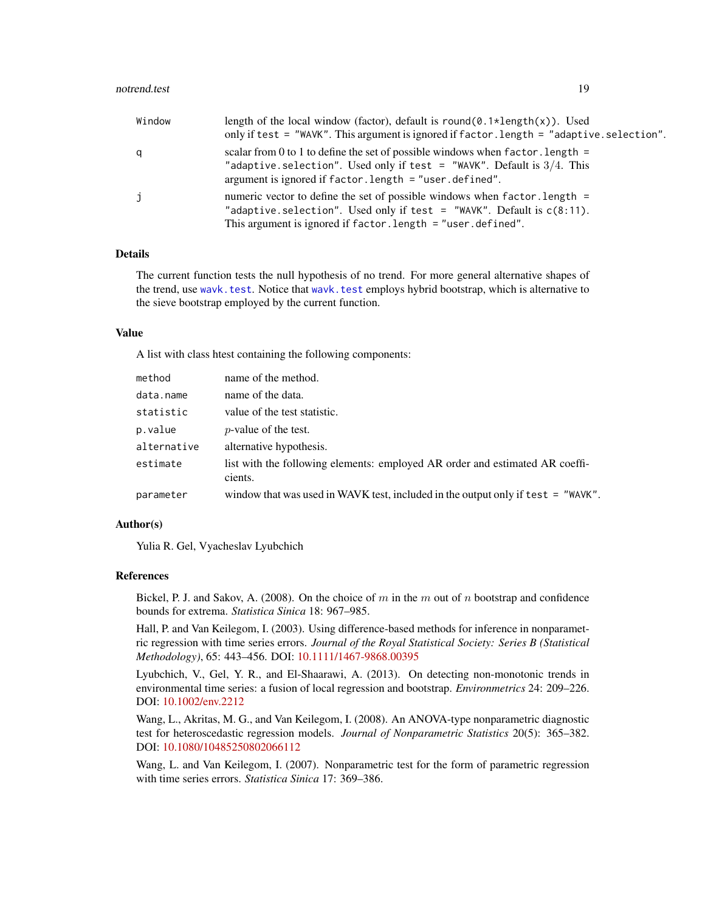<span id="page-18-0"></span>

| Window | length of the local window (factor), default is round( $\emptyset$ . 1*length(x)). Used<br>only if test = "WAVK". This argument is ignored if factor. length = "adaptive. selection".                                     |
|--------|---------------------------------------------------------------------------------------------------------------------------------------------------------------------------------------------------------------------------|
| q      | scalar from 0 to 1 to define the set of possible windows when factor. Length $=$<br>"adaptive. selection". Used only if test = "WAVK". Default is $3/4$ . This<br>argument is ignored if $factor.length = "user.defind".$ |
| j      | numeric vector to define the set of possible windows when factor. length =<br>"adaptive.selection". Used only if test = "WAVK". Default is $c(8:11)$ .<br>This argument is ignored if $factor.length = "user.defind".$    |

# Details

The current function tests the null hypothesis of no trend. For more general alternative shapes of the trend, use [wavk.test](#page-28-1). Notice that [wavk.test](#page-28-1) employs hybrid bootstrap, which is alternative to the sieve bootstrap employed by the current function.

#### Value

A list with class htest containing the following components:

| method      | name of the method.                                                                     |
|-------------|-----------------------------------------------------------------------------------------|
| data.name   | name of the data.                                                                       |
| statistic   | value of the test statistic.                                                            |
| p.value     | <i>p</i> -value of the test.                                                            |
| alternative | alternative hypothesis.                                                                 |
| estimate    | list with the following elements: employed AR order and estimated AR coeffi-<br>cients. |
| parameter   | window that was used in WAVK test, included in the output only if test $=$ "WAVK".      |

#### Author(s)

Yulia R. Gel, Vyacheslav Lyubchich

#### References

Bickel, P. J. and Sakov, A. (2008). On the choice of m in the m out of n bootstrap and confidence bounds for extrema. *Statistica Sinica* 18: 967–985.

Hall, P. and Van Keilegom, I. (2003). Using difference-based methods for inference in nonparametric regression with time series errors. *Journal of the Royal Statistical Society: Series B (Statistical Methodology)*, 65: 443–456. DOI: [10.1111/1467-9868.00395](http://dx.doi.org/10.1111/1467-9868.00395)

Lyubchich, V., Gel, Y. R., and El-Shaarawi, A. (2013). On detecting non-monotonic trends in environmental time series: a fusion of local regression and bootstrap. *Environmetrics* 24: 209–226. DOI: [10.1002/env.2212](http://dx.doi.org/10.1002/env.2212)

Wang, L., Akritas, M. G., and Van Keilegom, I. (2008). An ANOVA-type nonparametric diagnostic test for heteroscedastic regression models. *Journal of Nonparametric Statistics* 20(5): 365–382. DOI: [10.1080/10485250802066112](http://dx.doi.org/10.1080/10485250802066112)

Wang, L. and Van Keilegom, I. (2007). Nonparametric test for the form of parametric regression with time series errors. *Statistica Sinica* 17: 369–386.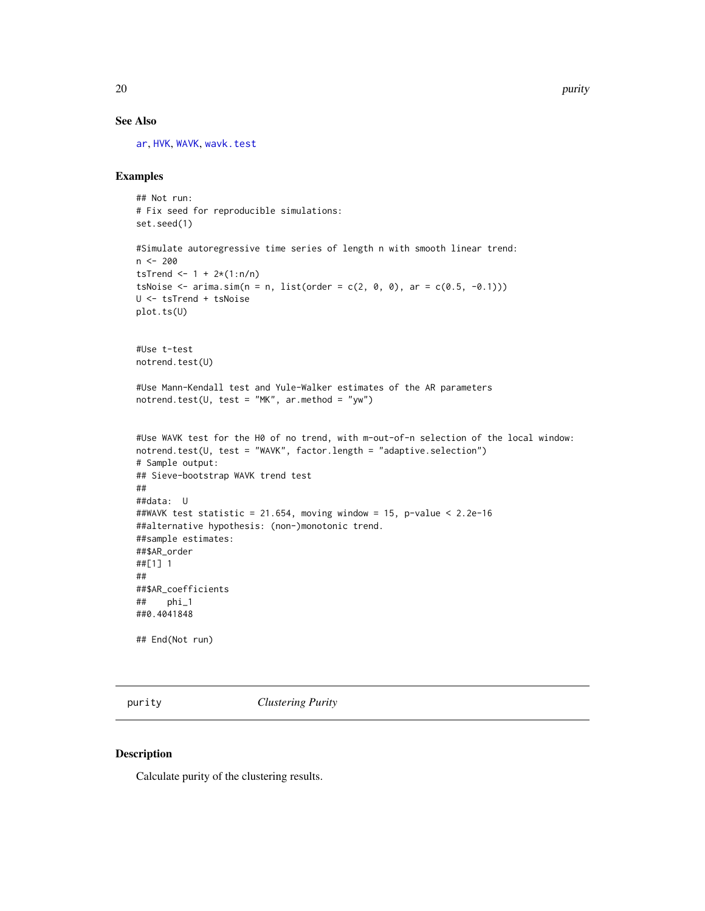# See Also

[ar](#page-0-0), [HVK](#page-14-1), [WAVK](#page-26-1), [wavk.test](#page-28-1)

# Examples

```
## Not run:
# Fix seed for reproducible simulations:
set.seed(1)
#Simulate autoregressive time series of length n with smooth linear trend:
n <- 200
tsTrend <- 1 + 2*(1:n/n)tsNoise \leq arima.sim(n = n, list(order = c(2, 0, 0), ar = c(0.5, -0.1)))
U <- tsTrend + tsNoise
plot.ts(U)
#Use t-test
notrend.test(U)
#Use Mann-Kendall test and Yule-Walker estimates of the AR parameters
notrend.test(U, test = "MK", ar.method = "yw")
#Use WAVK test for the H0 of no trend, with m-out-of-n selection of the local window:
notrend.test(U, test = "WAVK", factor.length = "adaptive.selection")
# Sample output:
## Sieve-bootstrap WAVK trend test
##
##data: U
##WAVK test statistic = 21.654, moving window = 15, p-value < 2.2e-16
##alternative hypothesis: (non-)monotonic trend.
##sample estimates:
##$AR_order
##[1] 1
##
##$AR_coefficients
## phi_1
##0.4041848
## End(Not run)
```
<span id="page-19-1"></span>purity *Clustering Purity*

#### Description

Calculate purity of the clustering results.

<span id="page-19-0"></span>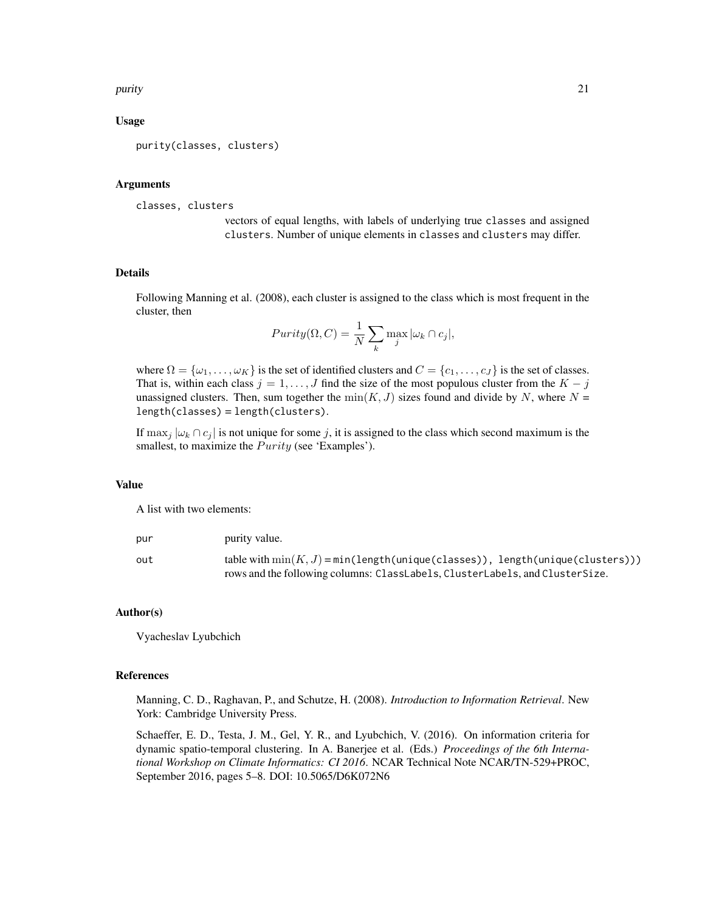#### purity that a state of the contract of the contract of the contract of the contract of the contract of the contract of the contract of the contract of the contract of the contract of the contract of the contract of the con

# Usage

purity(classes, clusters)

#### Arguments

classes, clusters

vectors of equal lengths, with labels of underlying true classes and assigned clusters. Number of unique elements in classes and clusters may differ.

#### Details

Following Manning et al. (2008), each cluster is assigned to the class which is most frequent in the cluster, then

$$
Purity(\Omega, C) = \frac{1}{N} \sum_{k} \max_{j} |\omega_k \cap c_j|,
$$

where  $\Omega = {\omega_1, \dots, \omega_K}$  is the set of identified clusters and  $C = {c_1, \dots, c_J}$  is the set of classes. That is, within each class  $j = 1, \ldots, J$  find the size of the most populous cluster from the  $K - j$ unassigned clusters. Then, sum together the  $min(K, J)$  sizes found and divide by N, where  $N =$ length(classes) = length(clusters).

If  $\max_j |\omega_k \cap c_j|$  is not unique for some j, it is assigned to the class which second maximum is the smallest, to maximize the  $Purity$  (see 'Examples').

#### Value

A list with two elements:

| pur | purity value.                                                                                                               |
|-----|-----------------------------------------------------------------------------------------------------------------------------|
| out | table with $\min(K, J) = \min(\text{length}(\text{unique}(\text{classes})), \text{length}(\text{unique}(\text{clusters})))$ |
|     | rows and the following columns: ClassLabels, ClusterLabels, and ClusterSize.                                                |

#### Author(s)

Vyacheslav Lyubchich

#### References

Manning, C. D., Raghavan, P., and Schutze, H. (2008). *Introduction to Information Retrieval*. New York: Cambridge University Press.

Schaeffer, E. D., Testa, J. M., Gel, Y. R., and Lyubchich, V. (2016). On information criteria for dynamic spatio-temporal clustering. In A. Banerjee et al. (Eds.) *Proceedings of the 6th International Workshop on Climate Informatics: CI 2016*. NCAR Technical Note NCAR/TN-529+PROC, September 2016, pages 5–8. DOI: 10.5065/D6K072N6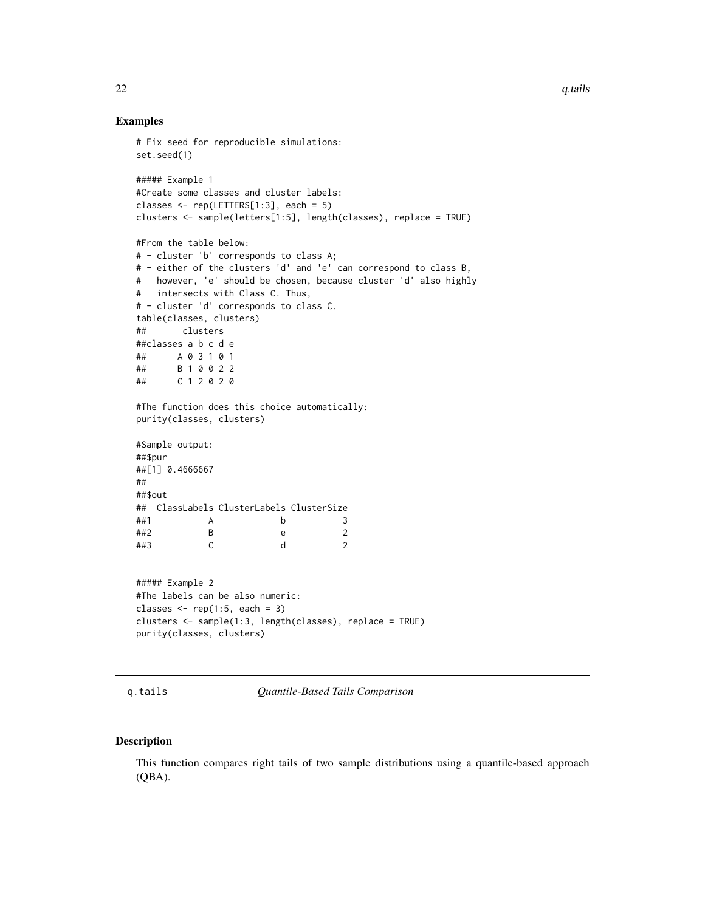#### Examples

```
# Fix seed for reproducible simulations:
set.seed(1)
##### Example 1
#Create some classes and cluster labels:
classes <- rep(LETTERS[1:3], each = 5)
clusters <- sample(letters[1:5], length(classes), replace = TRUE)
#From the table below:
# - cluster 'b' corresponds to class A;
# - either of the clusters 'd' and 'e' can correspond to class B,
# however, 'e' should be chosen, because cluster 'd' also highly
# intersects with Class C. Thus,
# - cluster 'd' corresponds to class C.
table(classes, clusters)
## clusters
##classes a b c d e
## A 0 3 1 0 1
## B 1 0 0 2 2
## C 1 2 0 2 0
#The function does this choice automatically:
purity(classes, clusters)
#Sample output:
##$pur
##[1] 0.4666667
##
##$out
## ClassLabels ClusterLabels ClusterSize
##1 A b 3
##2 B e 2
##3 C d 2
##### Example 2
#The labels can be also numeric:
classes \leq rep(1:5, each = 3)
clusters <- sample(1:3, length(classes), replace = TRUE)
purity(classes, clusters)
```
<span id="page-21-1"></span>q.tails *Quantile-Based Tails Comparison*

#### Description

This function compares right tails of two sample distributions using a quantile-based approach (QBA).

<span id="page-21-0"></span>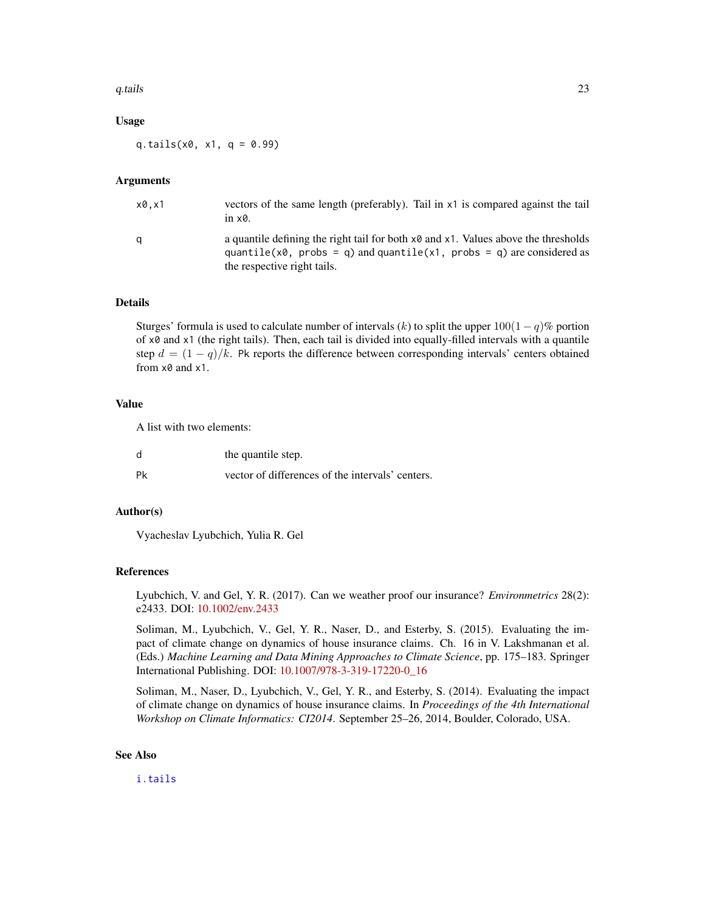#### <span id="page-22-0"></span>q.tails 23

#### Usage

q.tails( $x0$ ,  $x1$ ,  $q = 0.99$ )

#### Arguments

| x0.x1 | vectors of the same length (preferably). Tail in x1 is compared against the tail<br>in $\times \mathcal{O}$ .                                                                                                     |
|-------|-------------------------------------------------------------------------------------------------------------------------------------------------------------------------------------------------------------------|
|       | a quantile defining the right tail for both $x\theta$ and $x1$ . Values above the thresholds<br>quantile( $x\theta$ , probs = q) and quantile( $x1$ , probs = q) are considered as<br>the respective right tails. |

# Details

Sturges' formula is used to calculate number of intervals  $(k)$  to split the upper  $100(1 - q)\%$  portion of x0 and x1 (the right tails). Then, each tail is divided into equally-filled intervals with a quantile step  $d = (1 - q)/k$ . Pk reports the difference between corresponding intervals' centers obtained from x0 and x1.

# Value

A list with two elements:

| d  | the quantile step.                               |
|----|--------------------------------------------------|
| Pk | vector of differences of the intervals' centers. |

# Author(s)

Vyacheslav Lyubchich, Yulia R. Gel

## References

Lyubchich, V. and Gel, Y. R. (2017). Can we weather proof our insurance? *Environmetrics* 28(2): e2433. DOI: [10.1002/env.2433](http://dx.doi.org/10.1002/env.2433)

Soliman, M., Lyubchich, V., Gel, Y. R., Naser, D., and Esterby, S. (2015). Evaluating the impact of climate change on dynamics of house insurance claims. Ch. 16 in V. Lakshmanan et al. (Eds.) *Machine Learning and Data Mining Approaches to Climate Science*, pp. 175–183. Springer International Publishing. DOI: [10.1007/978-3-319-17220-0\\_16](http://dx.doi.org/10.1007/978-3-319-17220-0_16)

Soliman, M., Naser, D., Lyubchich, V., Gel, Y. R., and Esterby, S. (2014). Evaluating the impact of climate change on dynamics of house insurance claims. In *Proceedings of the 4th International Workshop on Climate Informatics: CI2014*. September 25–26, 2014, Boulder, Colorado, USA.

#### See Also

[i.tails](#page-16-1)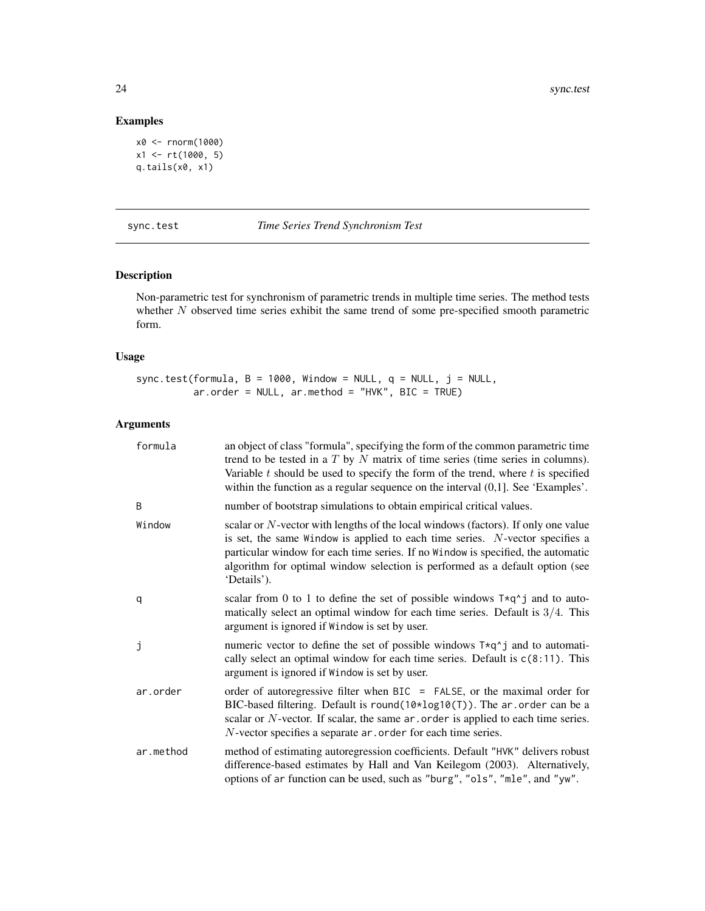# Examples

```
x0 <- rnorm(1000)
x1 <- rt(1000, 5)
q.tails(x0, x1)
```
<span id="page-23-1"></span>sync.test *Time Series Trend Synchronism Test*

# Description

Non-parametric test for synchronism of parametric trends in multiple time series. The method tests whether  $N$  observed time series exhibit the same trend of some pre-specified smooth parametric form.

# Usage

sync.test(formula,  $B = 1000$ , Window = NULL,  $q = NULL$ ,  $j = NULL$ , ar.order = NULL, ar.method = "HVK", BIC = TRUE)

# Arguments

| formula   | an object of class "formula", specifying the form of the common parametric time<br>trend to be tested in a $T$ by $N$ matrix of time series (time series in columns).<br>Variable $t$ should be used to specify the form of the trend, where $t$ is specified<br>within the function as a regular sequence on the interval $(0,1]$ . See 'Examples'.    |
|-----------|---------------------------------------------------------------------------------------------------------------------------------------------------------------------------------------------------------------------------------------------------------------------------------------------------------------------------------------------------------|
| B         | number of bootstrap simulations to obtain empirical critical values.                                                                                                                                                                                                                                                                                    |
| Window    | scalar or $N$ -vector with lengths of the local windows (factors). If only one value<br>is set, the same Window is applied to each time series. N-vector specifies a<br>particular window for each time series. If no Window is specified, the automatic<br>algorithm for optimal window selection is performed as a default option (see<br>'Details'). |
| q         | scalar from 0 to 1 to define the set of possible windows $T \star q^T j$ and to auto-<br>matically select an optimal window for each time series. Default is $3/4$ . This<br>argument is ignored if Window is set by user.                                                                                                                              |
| j         | numeric vector to define the set of possible windows $T \star q^T j$ and to automati-<br>cally select an optimal window for each time series. Default is $c(8:11)$ . This<br>argument is ignored if Window is set by user.                                                                                                                              |
| ar.order  | order of autoregressive filter when BIC = FALSE, or the maximal order for<br>BIC-based filtering. Default is round( $10*log10(T)$ ). The ar order can be a<br>scalar or $N$ -vector. If scalar, the same $ar \cdot$ order is applied to each time series.<br>N-vector specifies a separate ar order for each time series.                               |
| ar.method | method of estimating autoregression coefficients. Default "HVK" delivers robust<br>difference-based estimates by Hall and Van Keilegom (2003). Alternatively,<br>options of ar function can be used, such as "burg", "ols", "mle", and "yw".                                                                                                            |

<span id="page-23-0"></span>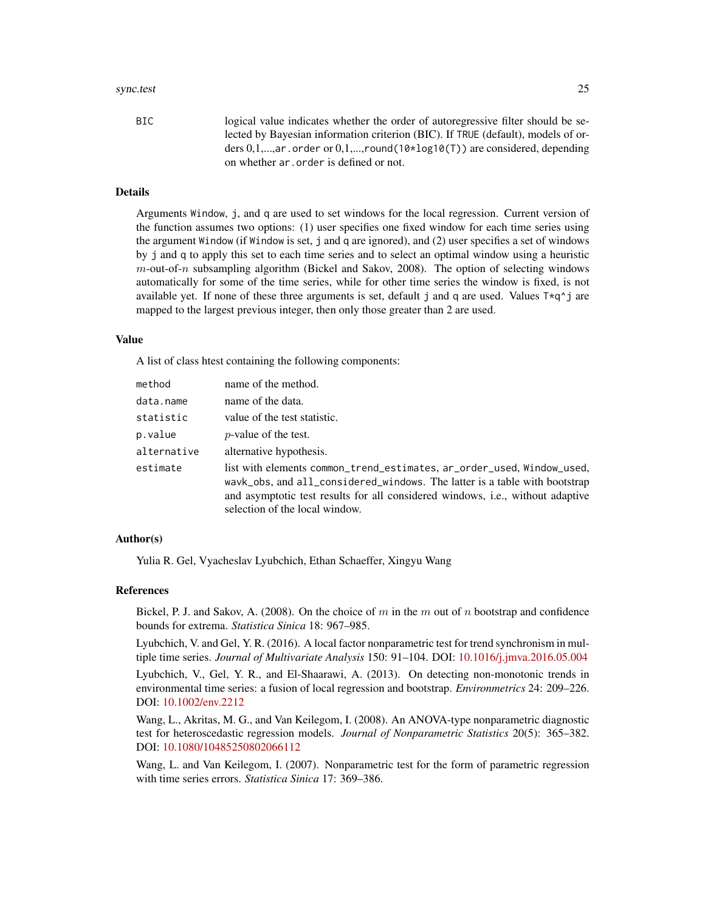#### sync.test 25

BIC logical value indicates whether the order of autoregressive filter should be selected by Bayesian information criterion (BIC). If TRUE (default), models of orders  $0,1,...,ar$  order or  $0,1,...,round(10*log10(T))$  are considered, depending on whether ar.order is defined or not.

# Details

Arguments Window, j, and q are used to set windows for the local regression. Current version of the function assumes two options: (1) user specifies one fixed window for each time series using the argument Window (if Window is set, j and q are ignored), and (2) user specifies a set of windows by j and q to apply this set to each time series and to select an optimal window using a heuristic  $m$ -out-of-n subsampling algorithm (Bickel and Sakov, 2008). The option of selecting windows automatically for some of the time series, while for other time series the window is fixed, is not available yet. If none of these three arguments is set, default j and q are used. Values  $T \star q \uparrow j$  are mapped to the largest previous integer, then only those greater than 2 are used.

#### Value

A list of class htest containing the following components:

| method      | name of the method.                                                                                                                                                                                                                                                      |
|-------------|--------------------------------------------------------------------------------------------------------------------------------------------------------------------------------------------------------------------------------------------------------------------------|
| data.name   | name of the data.                                                                                                                                                                                                                                                        |
| statistic   | value of the test statistic.                                                                                                                                                                                                                                             |
| p.value     | <i>p</i> -value of the test.                                                                                                                                                                                                                                             |
| alternative | alternative hypothesis.                                                                                                                                                                                                                                                  |
| estimate    | list with elements common_trend_estimates, ar_order_used, Window_used,<br>wavk_obs, and all_considered_windows. The latter is a table with bootstrap<br>and asymptotic test results for all considered windows, i.e., without adaptive<br>selection of the local window. |

#### Author(s)

Yulia R. Gel, Vyacheslav Lyubchich, Ethan Schaeffer, Xingyu Wang

# References

Bickel, P. J. and Sakov, A. (2008). On the choice of m in the m out of n bootstrap and confidence bounds for extrema. *Statistica Sinica* 18: 967–985.

Lyubchich, V. and Gel, Y. R. (2016). A local factor nonparametric test for trend synchronism in multiple time series. *Journal of Multivariate Analysis* 150: 91–104. DOI: [10.1016/j.jmva.2016.05.004](http://dx.doi.org/10.1016/j.jmva.2016.05.004)

Lyubchich, V., Gel, Y. R., and El-Shaarawi, A. (2013). On detecting non-monotonic trends in environmental time series: a fusion of local regression and bootstrap. *Environmetrics* 24: 209–226. DOI: [10.1002/env.2212](http://dx.doi.org/10.1002/env.2212)

Wang, L., Akritas, M. G., and Van Keilegom, I. (2008). An ANOVA-type nonparametric diagnostic test for heteroscedastic regression models. *Journal of Nonparametric Statistics* 20(5): 365–382. DOI: [10.1080/10485250802066112](http://dx.doi.org/10.1080/10485250802066112)

Wang, L. and Van Keilegom, I. (2007). Nonparametric test for the form of parametric regression with time series errors. *Statistica Sinica* 17: 369–386.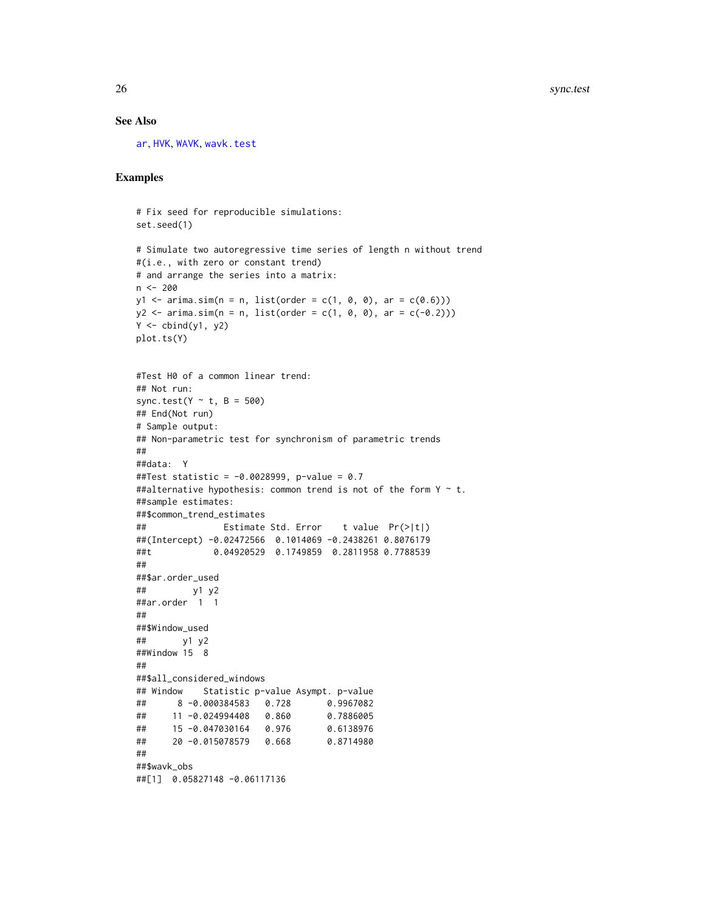# See Also

[ar](#page-0-0), [HVK](#page-14-1), [WAVK](#page-26-1), [wavk.test](#page-28-1)

```
# Fix seed for reproducible simulations:
set.seed(1)
# Simulate two autoregressive time series of length n without trend
#(i.e., with zero or constant trend)
# and arrange the series into a matrix:
n <- 200
y1 \le -\arima.sim(n = n, list(order = c(1, 0, 0), ar = c(0.6)))y2 \le -\arima.sim(n = n, list(order = c(1, 0, 0), ar = c(-0.2)))Y \leftarrow \text{cbind}(y1, y2)plot.ts(Y)
#Test H0 of a common linear trend:
## Not run:
sync.test(Y \sim t, B = 500)
## End(Not run)
# Sample output:
## Non-parametric test for synchronism of parametric trends
##
##data: Y
##Test statistic = -0.0028999, p-value = 0.7
##alternative hypothesis: common trend is not of the form Y \sim t.
##sample estimates:
##$common_trend_estimates
## Estimate Std. Error t value Pr(>|t|)
##(Intercept) -0.02472566 0.1014069 -0.2438261 0.8076179
##t 0.04920529 0.1749859 0.2811958 0.7788539
##
##$ar.order_used
## y1 y2
##ar.order 1 1
##
##$Window_used
## y1 y2
##Window 15 8
##
##$all_considered_windows
## Window Statistic p-value Asympt. p-value
## 8 -0.000384583 0.728 0.9967082
## 11 -0.024994408 0.860 0.7886005
## 15 -0.047030164 0.976 0.6138976
## 20 -0.015078579 0.668 0.8714980
##
##$wavk_obs
##[1] 0.05827148 -0.06117136
```
<span id="page-25-0"></span>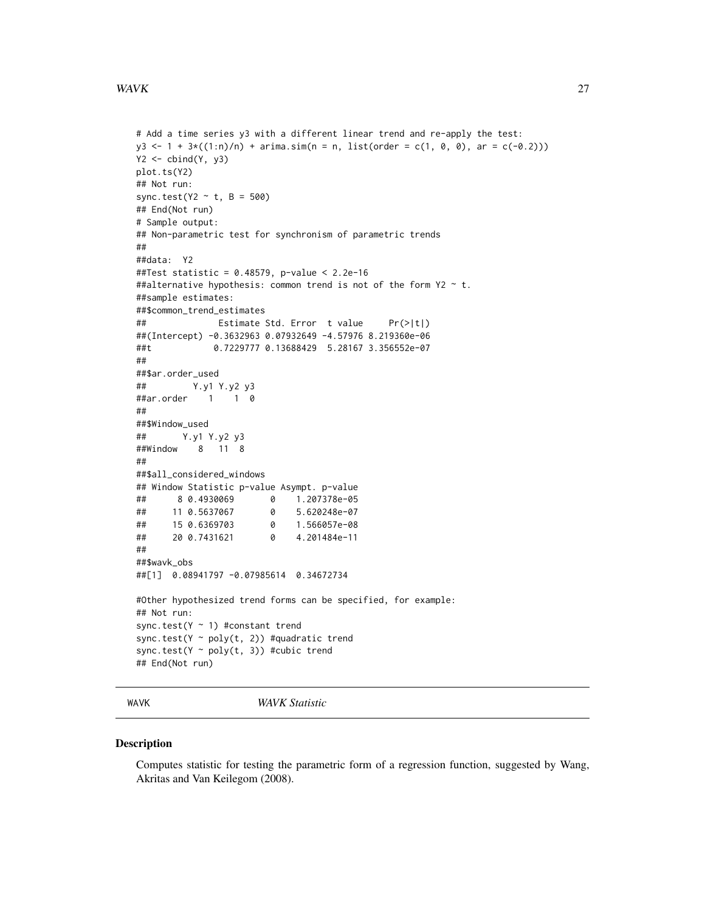#### <span id="page-26-0"></span> $WAVK$  27

```
# Add a time series y3 with a different linear trend and re-apply the test:
y3 \le -1 + 3 \times ((1:n)/n) + \text{arima.sim}(n = n, \text{ list}(\text{order} = c(1, 0, 0), \text{ ar} = c(-0.2)))Y2 \le -\text{cbind}(Y, y3)plot.ts(Y2)
## Not run:
sync.test(Y2 \sim t, B = 500)
## End(Not run)
# Sample output:
## Non-parametric test for synchronism of parametric trends
##
##data: Y2
##Test statistic = 0.48579, p-value < 2.2e-16
##alternative hypothesis: common trend is not of the form Y2 \sim t.
##sample estimates:
##$common_trend_estimates
## Estimate Std. Error t value Pr(>|t|)
##(Intercept) -0.3632963 0.07932649 -4.57976 8.219360e-06
##t 0.7229777 0.13688429 5.28167 3.356552e-07
##
##$ar.order_used
## Y.y1 Y.y2 y3
##ar.order 1 1 0
##
##$Window_used
## Y.y1 Y.y2 y3
##Window 8 11 8
##
##$all_considered_windows
## Window Statistic p-value Asympt. p-value
## 8 0.4930069 0 1.207378e-05
## 11 0.5637067 0 5.620248e-07
## 15 0.6369703 0 1.566057e-08
## 20 0.7431621 0 4.201484e-11
##
##$wavk_obs
##[1] 0.08941797 -0.07985614 0.34672734
#Other hypothesized trend forms can be specified, for example:
## Not run:
sync.test(Y \sim 1) #constant trend
sync.test(Y ~ poly(t, 2)) #quadratic trend
sync.test(Y \sim poly(t, 3)) #cubic trend
## End(Not run)
```
<span id="page-26-1"></span>WAVK *WAVK Statistic*

#### Description

Computes statistic for testing the parametric form of a regression function, suggested by Wang, Akritas and Van Keilegom (2008).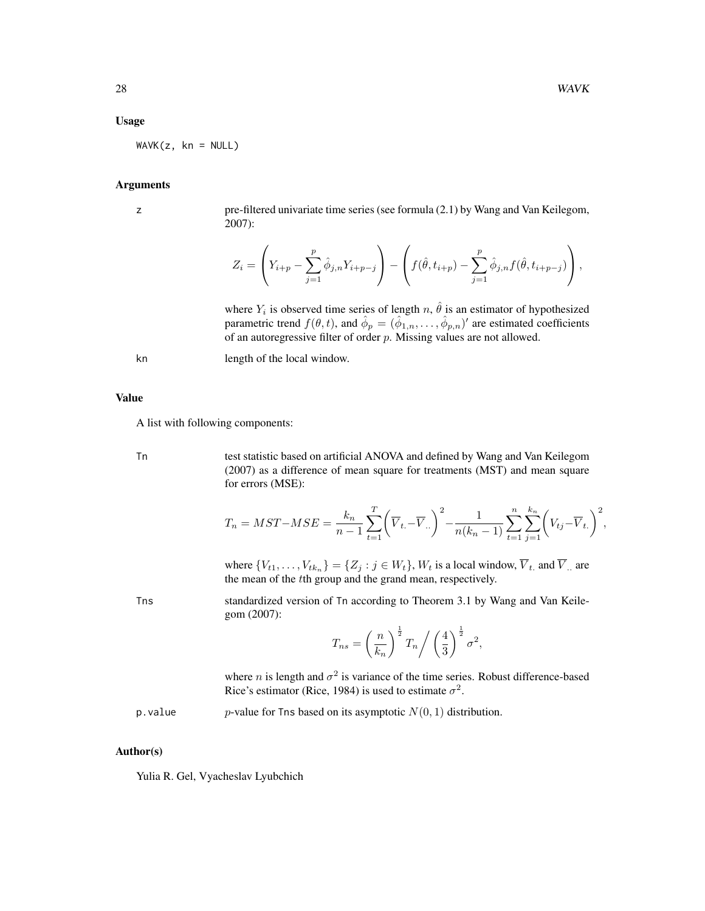#### Usage

 $WAVK(z, kn = NULL)$ 

#### **Arguments**

z pre-filtered univariate time series (see formula (2.1) by Wang and Van Keilegom, 2007):

$$
Z_i = \left(Y_{i+p} - \sum_{j=1}^p \hat{\phi}_{j,n} Y_{i+p-j}\right) - \left(f(\hat{\theta}, t_{i+p}) - \sum_{j=1}^p \hat{\phi}_{j,n} f(\hat{\theta}, t_{i+p-j})\right),
$$

where  $Y_i$  is observed time series of length n,  $\hat{\theta}$  is an estimator of hypothesized parametric trend  $f(\theta, t)$ , and  $\hat{\phi}_p = (\hat{\phi}_{1,n}, \dots, \hat{\phi}_{p,n})'$  are estimated coefficients of an autoregressive filter of order  $p$ . Missing values are not allowed.

kn length of the local window.

Value

A list with following components:

Tn test statistic based on artificial ANOVA and defined by Wang and Van Keilegom (2007) as a difference of mean square for treatments (MST) and mean square for errors (MSE):

$$
T_n = MST - MSE = \frac{k_n}{n-1} \sum_{t=1}^{T} \left( \overline{V}_{t.} - \overline{V}_{t.} \right)^2 - \frac{1}{n(k_n-1)} \sum_{t=1}^{n} \sum_{j=1}^{k_n} \left( V_{tj} - \overline{V}_{t.} \right)^2,
$$

where  $\{V_{t1}, \ldots, V_{tk_n}\} = \{Z_j : j \in W_t\}$ ,  $W_t$  is a local window,  $V_t$  and  $V$  are the mean of the tth group and the grand mean, respectively.

Tns standardized version of Tn according to Theorem 3.1 by Wang and Van Keilegom (2007):

$$
T_{ns} = \left(\frac{n}{k_n}\right)^{\frac{1}{2}} T_n \bigg/ \left(\frac{4}{3}\right)^{\frac{1}{2}} \sigma^2,
$$

where *n* is length and  $\sigma^2$  is variance of the time series. Robust difference-based Rice's estimator (Rice, 1984) is used to estimate  $\sigma^2$ .

p. value p-value for Tns based on its asymptotic  $N(0, 1)$  distribution.

#### Author(s)

Yulia R. Gel, Vyacheslav Lyubchich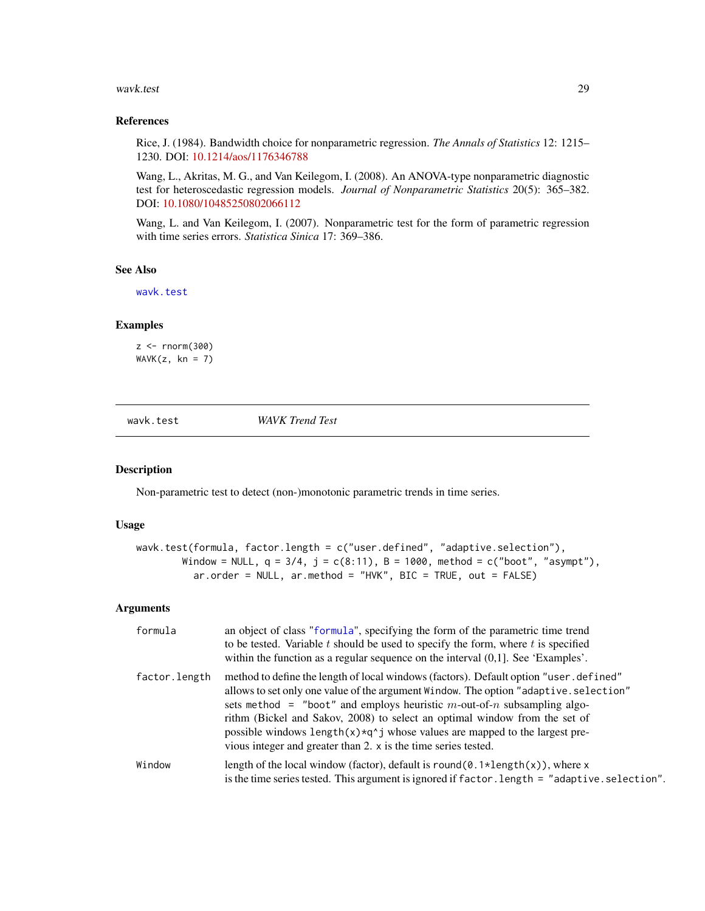#### <span id="page-28-0"></span>wavk.test 29

#### References

Rice, J. (1984). Bandwidth choice for nonparametric regression. *The Annals of Statistics* 12: 1215– 1230. DOI: [10.1214/aos/1176346788](http://dx.doi.org/10.1214/aos/1176346788)

Wang, L., Akritas, M. G., and Van Keilegom, I. (2008). An ANOVA-type nonparametric diagnostic test for heteroscedastic regression models. *Journal of Nonparametric Statistics* 20(5): 365–382. DOI: [10.1080/10485250802066112](http://dx.doi.org/10.1080/10485250802066112)

Wang, L. and Van Keilegom, I. (2007). Nonparametric test for the form of parametric regression with time series errors. *Statistica Sinica* 17: 369–386.

#### See Also

[wavk.test](#page-28-1)

#### Examples

 $z < -$  rnorm(300)  $WAVK(z, kn = 7)$ 

<span id="page-28-1"></span>wavk.test *WAVK Trend Test*

#### Description

Non-parametric test to detect (non-)monotonic parametric trends in time series.

#### Usage

```
wavk.test(formula, factor.length = c("user.defined", "adaptive.selection"),
        Window = NULL, q = 3/4, j = c(8:11), B = 1000, method = c("boot", "asympt"),ar.order = NULL, ar.method = "HVK", BIC = TRUE, out = FALSE)
```
# Arguments

| formula       | an object of class "formula", specifying the form of the parametric time trend<br>to be tested. Variable $t$ should be used to specify the form, where $t$ is specified<br>within the function as a regular sequence on the interval $(0,1]$ . See 'Examples'.                                                                                                                                                                                                                                                   |
|---------------|------------------------------------------------------------------------------------------------------------------------------------------------------------------------------------------------------------------------------------------------------------------------------------------------------------------------------------------------------------------------------------------------------------------------------------------------------------------------------------------------------------------|
| factor.length | method to define the length of local windows (factors). Default option "user. defined"<br>allows to set only one value of the argument Window. The option "adaptive. selection"<br>sets method = "boot" and employs heuristic $m$ -out-of- $n$ subsampling algo-<br>rithm (Bickel and Sakov, 2008) to select an optimal window from the set of<br>possible windows length $(x) \star q \uparrow j$ whose values are mapped to the largest pre-<br>vious integer and greater than 2. x is the time series tested. |
| Window        | length of the local window (factor), default is round( $\emptyset$ . 1*length(x)), where x<br>is the time series tested. This argument is ignored if factor. length = "adaptive. selection".                                                                                                                                                                                                                                                                                                                     |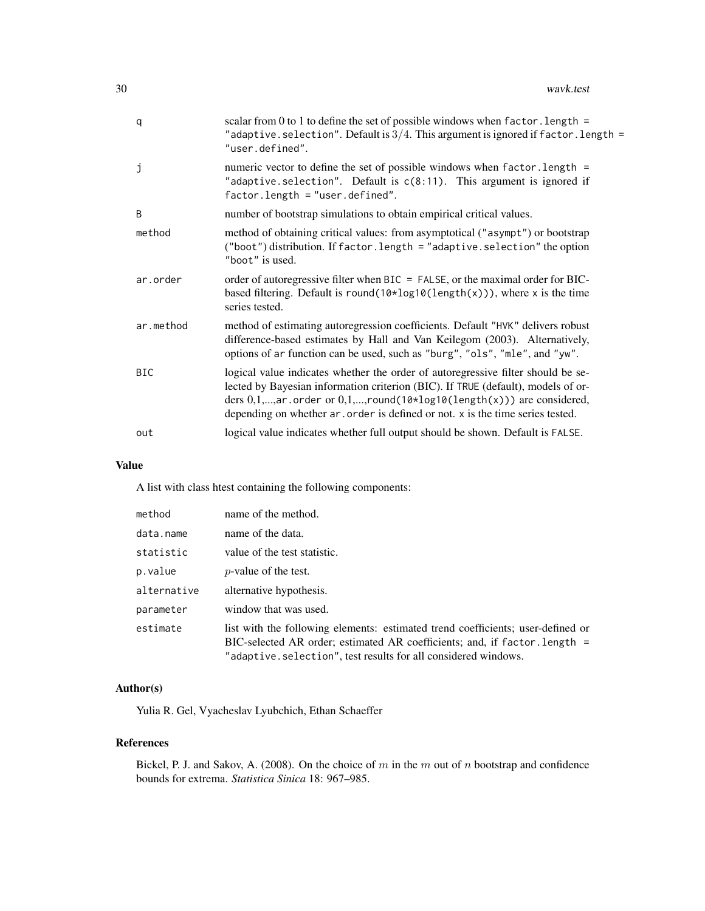| q            | scalar from 0 to 1 to define the set of possible windows when $factor.length =$<br>"adaptive.selection". Default is $3/4$ . This argument is ignored if factor.length =<br>"user.defined".                                                                                                                                                 |
|--------------|--------------------------------------------------------------------------------------------------------------------------------------------------------------------------------------------------------------------------------------------------------------------------------------------------------------------------------------------|
| j            | numeric vector to define the set of possible windows when factor. length =<br>"adaptive.selection". Default is $c(8:11)$ . This argument is ignored if<br>$factor.length = "user.defind".$                                                                                                                                                 |
| <sub>B</sub> | number of bootstrap simulations to obtain empirical critical values.                                                                                                                                                                                                                                                                       |
| method       | method of obtaining critical values: from asymptotical ("asympt") or bootstrap<br>("boot") distribution. If factor. length = "adaptive. selection" the option<br>"boot" is used.                                                                                                                                                           |
| ar.order     | order of autoregressive filter when BIC = FALSE, or the maximal order for BIC-<br>based filtering. Default is round( $10 \times log10(length(x)))$ , where x is the time<br>series tested.                                                                                                                                                 |
| ar.method    | method of estimating autoregression coefficients. Default "HVK" delivers robust<br>difference-based estimates by Hall and Van Keilegom (2003). Alternatively,<br>options of ar function can be used, such as "burg", "ols", "mle", and "yw".                                                                                               |
| <b>BIC</b>   | logical value indicates whether the order of autoregressive filter should be se-<br>lected by Bayesian information criterion (BIC). If TRUE (default), models of or-<br>ders $0,1,,ar$ order or $0,1,,round(10 \times log10 (length(x)))$ are considered,<br>depending on whether ar order is defined or not. x is the time series tested. |
| out          | logical value indicates whether full output should be shown. Default is FALSE.                                                                                                                                                                                                                                                             |
|              |                                                                                                                                                                                                                                                                                                                                            |

# Value

A list with class htest containing the following components:

| method      | name of the method.                                                                                                                                                                                                             |
|-------------|---------------------------------------------------------------------------------------------------------------------------------------------------------------------------------------------------------------------------------|
| data.name   | name of the data.                                                                                                                                                                                                               |
| statistic   | value of the test statistic.                                                                                                                                                                                                    |
| p.value     | <i>p</i> -value of the test.                                                                                                                                                                                                    |
| alternative | alternative hypothesis.                                                                                                                                                                                                         |
| parameter   | window that was used.                                                                                                                                                                                                           |
| estimate    | list with the following elements: estimated trend coefficients; user-defined or<br>BIC-selected AR order; estimated AR coefficients; and, if factor. length =<br>"adaptive.selection", test results for all considered windows. |

# Author(s)

Yulia R. Gel, Vyacheslav Lyubchich, Ethan Schaeffer

# References

Bickel, P. J. and Sakov, A. (2008). On the choice of  $m$  in the  $m$  out of  $n$  bootstrap and confidence bounds for extrema. *Statistica Sinica* 18: 967–985.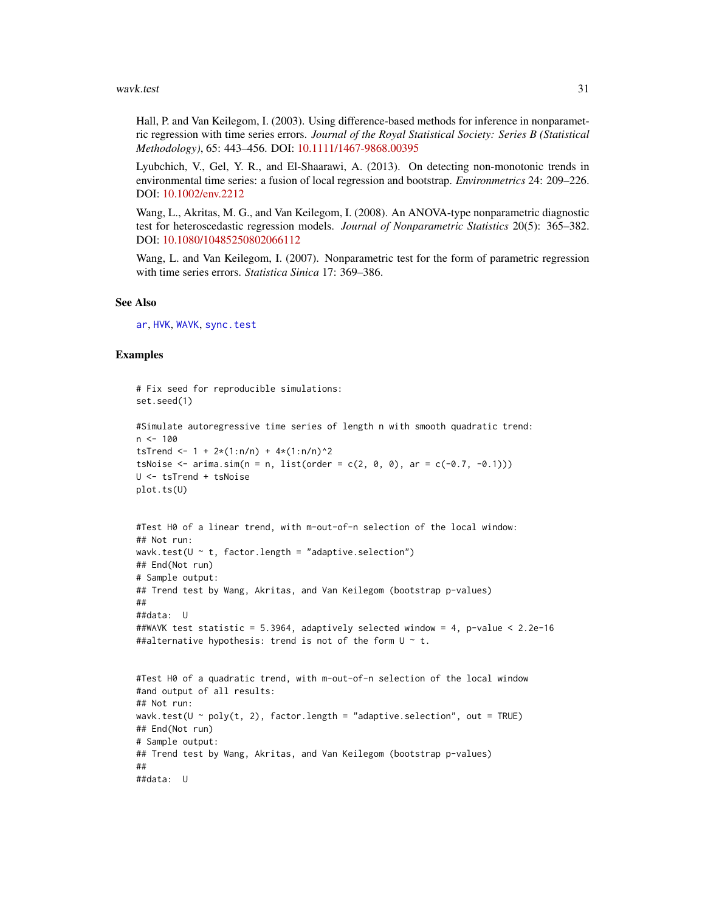<span id="page-30-0"></span>Hall, P. and Van Keilegom, I. (2003). Using difference-based methods for inference in nonparametric regression with time series errors. *Journal of the Royal Statistical Society: Series B (Statistical Methodology)*, 65: 443–456. DOI: [10.1111/1467-9868.00395](http://dx.doi.org/10.1111/1467-9868.00395)

Lyubchich, V., Gel, Y. R., and El-Shaarawi, A. (2013). On detecting non-monotonic trends in environmental time series: a fusion of local regression and bootstrap. *Environmetrics* 24: 209–226. DOI: [10.1002/env.2212](http://dx.doi.org/10.1002/env.2212)

Wang, L., Akritas, M. G., and Van Keilegom, I. (2008). An ANOVA-type nonparametric diagnostic test for heteroscedastic regression models. *Journal of Nonparametric Statistics* 20(5): 365–382. DOI: [10.1080/10485250802066112](http://dx.doi.org/10.1080/10485250802066112)

Wang, L. and Van Keilegom, I. (2007). Nonparametric test for the form of parametric regression with time series errors. *Statistica Sinica* 17: 369–386.

# See Also

[ar](#page-0-0), [HVK](#page-14-1), [WAVK](#page-26-1), [sync.test](#page-23-1)

```
# Fix seed for reproducible simulations:
set.seed(1)
#Simulate autoregressive time series of length n with smooth quadratic trend:
n < -100tsTrend <- 1 + 2*(1:n/n) + 4*(1:n/n)^2
tsNoise \leq - arima.sim(n = n, list(order = c(2, 0, 0), ar = c(-0.7, -0.1)))
U <- tsTrend + tsNoise
plot.ts(U)
#Test H0 of a linear trend, with m-out-of-n selection of the local window:
## Not run:
wavk.test(U \sim t, factor.length = "adaptive.selection")
## End(Not run)
# Sample output:
## Trend test by Wang, Akritas, and Van Keilegom (bootstrap p-values)
##
##data: U
##WAVK test statistic = 5.3964, adaptively selected window = 4, p-value < 2.2e-16
##alternative hypothesis: trend is not of the form U \sim t.
#Test H0 of a quadratic trend, with m-out-of-n selection of the local window
#and output of all results:
## Not run:
wavk.test(U \sim poly(t, 2), factor.length = "adaptive.selection", out = TRUE)
## End(Not run)
# Sample output:
## Trend test by Wang, Akritas, and Van Keilegom (bootstrap p-values)
##
##data: U
```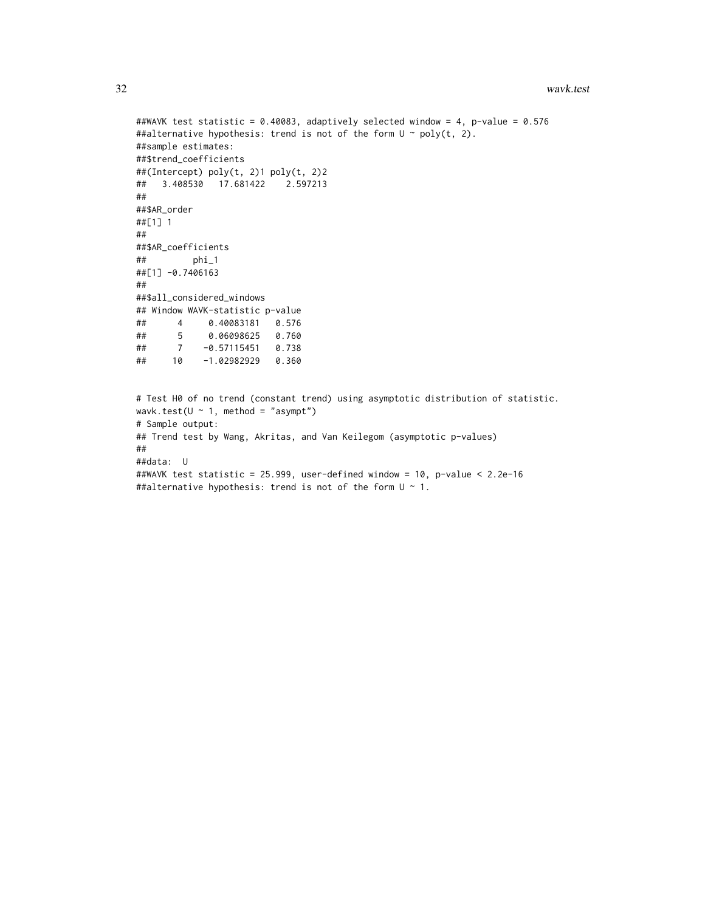```
##WAVK test statistic = 0.40083, adaptively selected window = 4, p-value = 0.576
##alternative hypothesis: trend is not of the form U \sim poly(t, 2).
##sample estimates:
##$trend_coefficients
##(Intercept) poly(t, 2)1 poly(t, 2)2
## 3.408530 17.681422 2.597213
##
##$AR_order
##[1] 1
##
##$AR_coefficients
## phi_1
##[1] -0.7406163
##
##$all_considered_windows
## Window WAVK-statistic p-value
## 4 0.40083181 0.576
## 5 0.06098625 0.760
## 7 -0.57115451 0.738
## 10 -1.02982929 0.360
# Test H0 of no trend (constant trend) using asymptotic distribution of statistic.
wavk.test(U \sim 1, method = "asympt")
# Sample output:
## Trend test by Wang, Akritas, and Van Keilegom (asymptotic p-values)
##
##data: U
##WAVK test statistic = 25.999, user-defined window = 10, p-value < 2.2e-16
##alternative hypothesis: trend is not of the form U ~ 1.
```